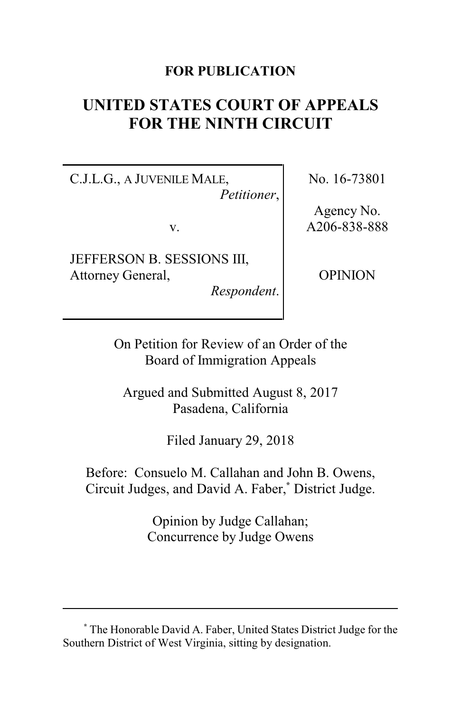## **FOR PUBLICATION**

# **UNITED STATES COURT OF APPEALS FOR THE NINTH CIRCUIT**

C.J.L.G., A JUVENILE MALE, *Petitioner*,

v.

JEFFERSON B. SESSIONS III, Attorney General,

*Respondent*.

No. 16-73801

Agency No. A206-838-888

OPINION

On Petition for Review of an Order of the Board of Immigration Appeals

Argued and Submitted August 8, 2017 Pasadena, California

Filed January 29, 2018

Before: Consuelo M. Callahan and John B. Owens, Circuit Judges, and David A. Faber,**\*** District Judge.

> Opinion by Judge Callahan; Concurrence by Judge Owens

**<sup>\*</sup>** The Honorable David A. Faber, United States District Judge for the Southern District of West Virginia, sitting by designation.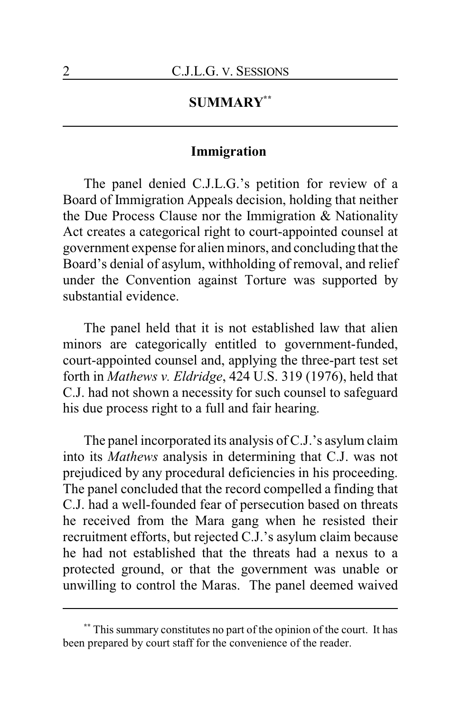## **SUMMARY\*\***

## **Immigration**

The panel denied C.J.L.G.'s petition for review of a Board of Immigration Appeals decision, holding that neither the Due Process Clause nor the Immigration & Nationality Act creates a categorical right to court-appointed counsel at government expense for alien minors, and concluding that the Board's denial of asylum, withholding of removal, and relief under the Convention against Torture was supported by substantial evidence.

The panel held that it is not established law that alien minors are categorically entitled to government-funded, court-appointed counsel and, applying the three-part test set forth in *Mathews v. Eldridge*, 424 U.S. 319 (1976), held that C.J. had not shown a necessity for such counsel to safeguard his due process right to a full and fair hearing.

The panel incorporated its analysis of C.J.'s asylum claim into its *Mathews* analysis in determining that C.J. was not prejudiced by any procedural deficiencies in his proceeding. The panel concluded that the record compelled a finding that C.J. had a well-founded fear of persecution based on threats he received from the Mara gang when he resisted their recruitment efforts, but rejected C.J.'s asylum claim because he had not established that the threats had a nexus to a protected ground, or that the government was unable or unwilling to control the Maras. The panel deemed waived

This summary constitutes no part of the opinion of the court. It has been prepared by court staff for the convenience of the reader.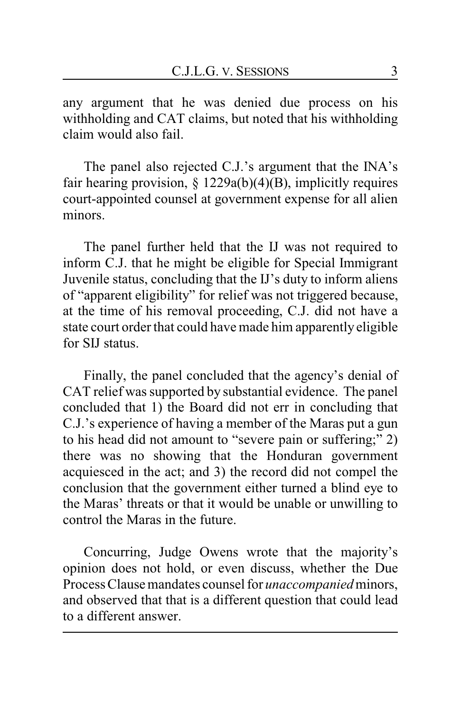any argument that he was denied due process on his withholding and CAT claims, but noted that his withholding claim would also fail.

The panel also rejected C.J.'s argument that the INA's fair hearing provision,  $\S 1229a(b)(4)(B)$ , implicitly requires court-appointed counsel at government expense for all alien minors.

The panel further held that the IJ was not required to inform C.J. that he might be eligible for Special Immigrant Juvenile status, concluding that the IJ's duty to inform aliens of "apparent eligibility" for relief was not triggered because, at the time of his removal proceeding, C.J. did not have a state court order that could have made him apparently eligible for SIJ status.

Finally, the panel concluded that the agency's denial of CAT relief was supported by substantial evidence. The panel concluded that 1) the Board did not err in concluding that C.J.'s experience of having a member of the Maras put a gun to his head did not amount to "severe pain or suffering;" 2) there was no showing that the Honduran government acquiesced in the act; and 3) the record did not compel the conclusion that the government either turned a blind eye to the Maras' threats or that it would be unable or unwilling to control the Maras in the future.

Concurring, Judge Owens wrote that the majority's opinion does not hold, or even discuss, whether the Due Process Clause mandates counsel for *unaccompanied* minors, and observed that that is a different question that could lead to a different answer.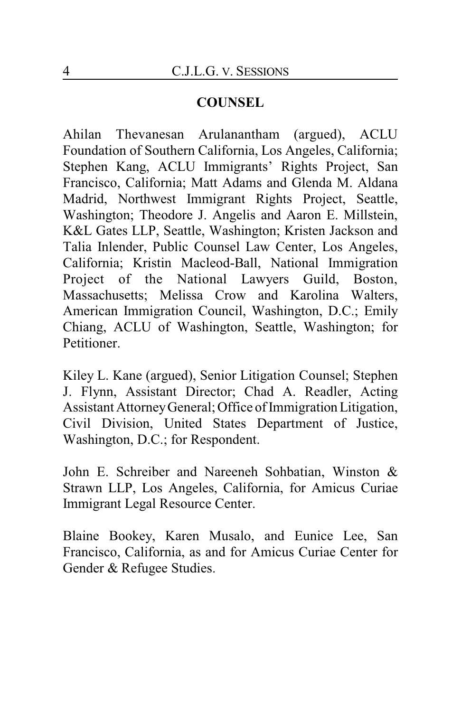## **COUNSEL**

Ahilan Thevanesan Arulanantham (argued), ACLU Foundation of Southern California, Los Angeles, California; Stephen Kang, ACLU Immigrants' Rights Project, San Francisco, California; Matt Adams and Glenda M. Aldana Madrid, Northwest Immigrant Rights Project, Seattle, Washington; Theodore J. Angelis and Aaron E. Millstein, K&L Gates LLP, Seattle, Washington; Kristen Jackson and Talia Inlender, Public Counsel Law Center, Los Angeles, California; Kristin Macleod-Ball, National Immigration Project of the National Lawyers Guild, Boston, Massachusetts; Melissa Crow and Karolina Walters, American Immigration Council, Washington, D.C.; Emily Chiang, ACLU of Washington, Seattle, Washington; for Petitioner.

Kiley L. Kane (argued), Senior Litigation Counsel; Stephen J. Flynn, Assistant Director; Chad A. Readler, Acting Assistant Attorney General; Office of Immigration Litigation, Civil Division, United States Department of Justice, Washington, D.C.; for Respondent.

John E. Schreiber and Nareeneh Sohbatian, Winston & Strawn LLP, Los Angeles, California, for Amicus Curiae Immigrant Legal Resource Center.

Blaine Bookey, Karen Musalo, and Eunice Lee, San Francisco, California, as and for Amicus Curiae Center for Gender & Refugee Studies.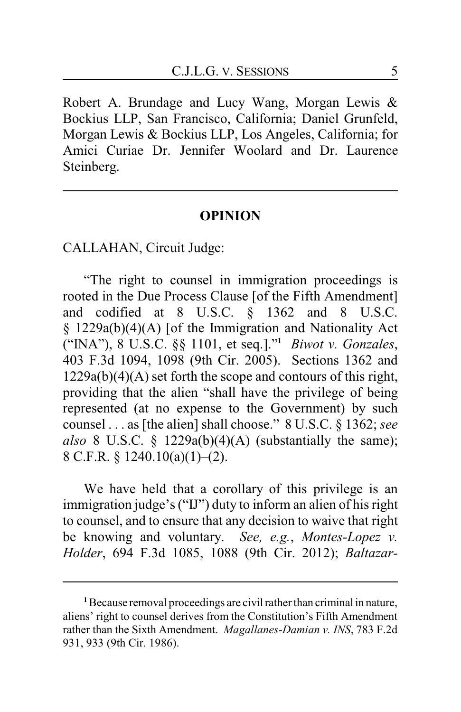Robert A. Brundage and Lucy Wang, Morgan Lewis & Bockius LLP, San Francisco, California; Daniel Grunfeld, Morgan Lewis & Bockius LLP, Los Angeles, California; for Amici Curiae Dr. Jennifer Woolard and Dr. Laurence Steinberg.

#### **OPINION**

CALLAHAN, Circuit Judge:

"The right to counsel in immigration proceedings is rooted in the Due Process Clause [of the Fifth Amendment] and codified at 8 U.S.C. § 1362 and 8 U.S.C. § 1229a(b)(4)(A) [of the Immigration and Nationality Act ("INA"), 8 U.S.C. §§ 1101, et seq.]."**<sup>1</sup>** *Biwot v. Gonzales*, 403 F.3d 1094, 1098 (9th Cir. 2005). Sections 1362 and 1229a(b)(4)(A) set forth the scope and contours of this right, providing that the alien "shall have the privilege of being represented (at no expense to the Government) by such counsel . . . as [the alien] shall choose." 8 U.S.C. § 1362; *see also* 8 U.S.C. § 1229a(b)(4)(A) (substantially the same); 8 C.F.R. § 1240.10(a)(1)–(2).

We have held that a corollary of this privilege is an immigration judge's ("IJ") duty to inform an alien of his right to counsel, and to ensure that any decision to waive that right be knowing and voluntary. *See, e.g.*, *Montes-Lopez v. Holder*, 694 F.3d 1085, 1088 (9th Cir. 2012); *Baltazar-*

**<sup>1</sup>**Because removal proceedings are civil rather than criminal in nature, aliens' right to counsel derives from the Constitution's Fifth Amendment rather than the Sixth Amendment. *Magallanes-Damian v. INS*, 783 F.2d 931, 933 (9th Cir. 1986).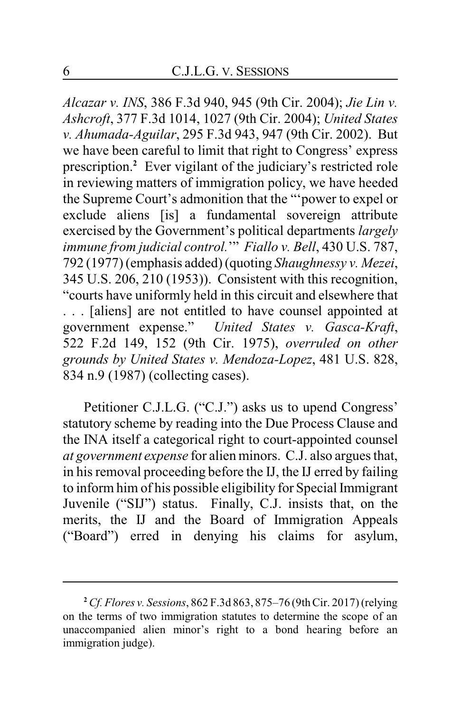*Alcazar v. INS*, 386 F.3d 940, 945 (9th Cir. 2004); *Jie Lin v. Ashcroft*, 377 F.3d 1014, 1027 (9th Cir. 2004); *United States v. Ahumada-Aguilar*, 295 F.3d 943, 947 (9th Cir. 2002). But we have been careful to limit that right to Congress' express prescription.**<sup>2</sup>** Ever vigilant of the judiciary's restricted role in reviewing matters of immigration policy, we have heeded the Supreme Court's admonition that the "'power to expel or exclude aliens [is] a fundamental sovereign attribute exercised by the Government's political departments *largely immune from judicial control.*'" *Fiallo v. Bell*, 430 U.S. 787, 792 (1977) (emphasis added) (quoting *Shaughnessy v. Mezei*, 345 U.S. 206, 210 (1953)). Consistent with this recognition, "courts have uniformly held in this circuit and elsewhere that . . . [aliens] are not entitled to have counsel appointed at government expense." *United States v. Gasca-Kraft*, 522 F.2d 149, 152 (9th Cir. 1975), *overruled on other grounds by United States v. Mendoza-Lopez*, 481 U.S. 828, 834 n.9 (1987) (collecting cases).

Petitioner C.J.L.G. ("C.J.") asks us to upend Congress' statutory scheme by reading into the Due Process Clause and the INA itself a categorical right to court-appointed counsel *at government expense* for alien minors. C.J. also argues that, in his removal proceeding before the IJ, the IJ erred by failing to inform him of his possible eligibility for Special Immigrant Juvenile ("SIJ") status. Finally, C.J. insists that, on the merits, the IJ and the Board of Immigration Appeals ("Board") erred in denying his claims for asylum,

**<sup>2</sup>***Cf. Flores v. Sessions*, 862 F.3d 863, 875–76 (9thCir. 2017) (relying on the terms of two immigration statutes to determine the scope of an unaccompanied alien minor's right to a bond hearing before an immigration judge).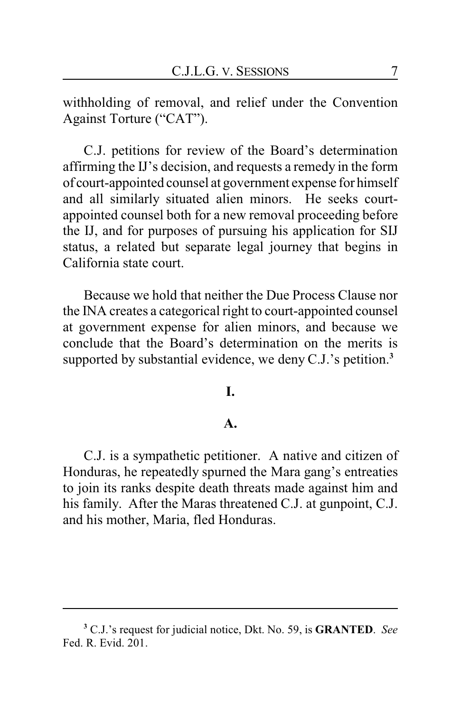withholding of removal, and relief under the Convention Against Torture ("CAT").

C.J. petitions for review of the Board's determination affirming the IJ's decision, and requests a remedy in the form of court-appointed counsel at government expense for himself and all similarly situated alien minors. He seeks courtappointed counsel both for a new removal proceeding before the IJ, and for purposes of pursuing his application for SIJ status, a related but separate legal journey that begins in California state court.

Because we hold that neither the Due Process Clause nor the INA creates a categorical right to court-appointed counsel at government expense for alien minors, and because we conclude that the Board's determination on the merits is supported by substantial evidence, we deny C.J.'s petition.**<sup>3</sup>**

#### **I.**

#### **A.**

C.J. is a sympathetic petitioner. A native and citizen of Honduras, he repeatedly spurned the Mara gang's entreaties to join its ranks despite death threats made against him and his family. After the Maras threatened C.J. at gunpoint, C.J. and his mother, Maria, fled Honduras.

**<sup>3</sup>** C.J.'s request for judicial notice, Dkt. No. 59, is **GRANTED**. *See* Fed. R. Evid. 201.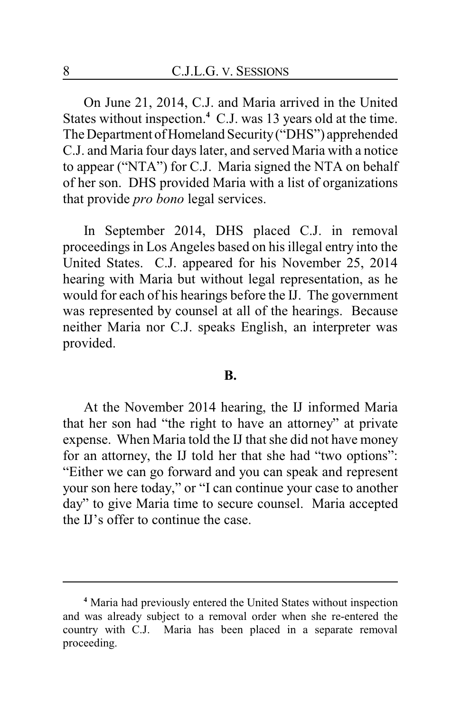On June 21, 2014, C.J. and Maria arrived in the United States without inspection.**<sup>4</sup>** C.J. was 13 years old at the time. The Department of Homeland Security ("DHS") apprehended C.J. and Maria four days later, and served Maria with a notice to appear ("NTA") for C.J. Maria signed the NTA on behalf of her son. DHS provided Maria with a list of organizations that provide *pro bono* legal services.

In September 2014, DHS placed C.J. in removal proceedings in Los Angeles based on his illegal entry into the United States. C.J. appeared for his November 25, 2014 hearing with Maria but without legal representation, as he would for each of his hearings before the IJ. The government was represented by counsel at all of the hearings. Because neither Maria nor C.J. speaks English, an interpreter was provided.

#### **B.**

At the November 2014 hearing, the IJ informed Maria that her son had "the right to have an attorney" at private expense. When Maria told the IJ that she did not have money for an attorney, the IJ told her that she had "two options": "Either we can go forward and you can speak and represent your son here today," or "I can continue your case to another day" to give Maria time to secure counsel. Maria accepted the IJ's offer to continue the case.

**<sup>4</sup>** Maria had previously entered the United States without inspection and was already subject to a removal order when she re-entered the country with C.J. Maria has been placed in a separate removal proceeding.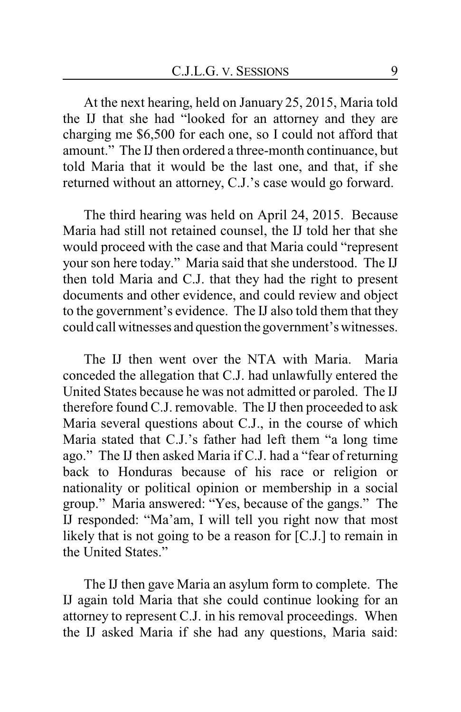At the next hearing, held on January 25, 2015, Maria told the IJ that she had "looked for an attorney and they are charging me \$6,500 for each one, so I could not afford that amount." The IJ then ordered a three-month continuance, but told Maria that it would be the last one, and that, if she returned without an attorney, C.J.'s case would go forward.

The third hearing was held on April 24, 2015. Because Maria had still not retained counsel, the IJ told her that she would proceed with the case and that Maria could "represent your son here today." Maria said that she understood. The IJ then told Maria and C.J. that they had the right to present documents and other evidence, and could review and object to the government's evidence. The IJ also told them that they could call witnesses and question the government's witnesses.

The IJ then went over the NTA with Maria. Maria conceded the allegation that C.J. had unlawfully entered the United States because he was not admitted or paroled. The IJ therefore found C.J. removable. The IJ then proceeded to ask Maria several questions about C.J., in the course of which Maria stated that C.J.'s father had left them "a long time ago." The IJ then asked Maria if C.J. had a "fear of returning back to Honduras because of his race or religion or nationality or political opinion or membership in a social group." Maria answered: "Yes, because of the gangs." The IJ responded: "Ma'am, I will tell you right now that most likely that is not going to be a reason for [C.J.] to remain in the United States."

The IJ then gave Maria an asylum form to complete. The IJ again told Maria that she could continue looking for an attorney to represent C.J. in his removal proceedings. When the IJ asked Maria if she had any questions, Maria said: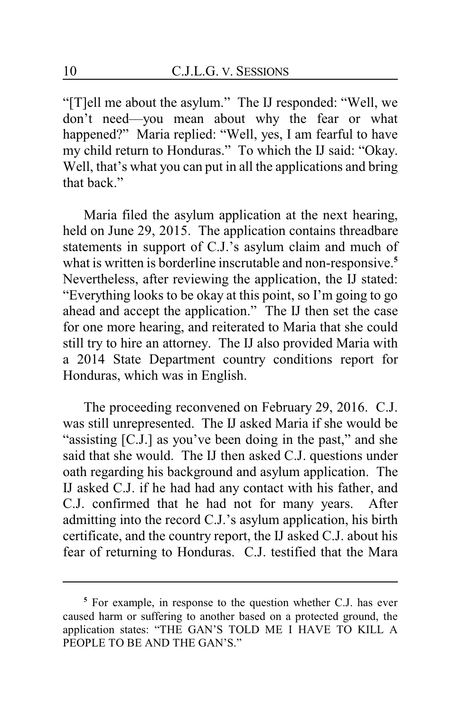"[T]ell me about the asylum." The IJ responded: "Well, we don't need—you mean about why the fear or what happened?" Maria replied: "Well, yes, I am fearful to have my child return to Honduras." To which the IJ said: "Okay. Well, that's what you can put in all the applications and bring that back."

Maria filed the asylum application at the next hearing, held on June 29, 2015. The application contains threadbare statements in support of C.J.'s asylum claim and much of what is written is borderline inscrutable and non-responsive.**<sup>5</sup>** Nevertheless, after reviewing the application, the IJ stated: "Everything looks to be okay at this point, so I'm going to go ahead and accept the application." The IJ then set the case for one more hearing, and reiterated to Maria that she could still try to hire an attorney. The IJ also provided Maria with a 2014 State Department country conditions report for Honduras, which was in English.

The proceeding reconvened on February 29, 2016. C.J. was still unrepresented. The IJ asked Maria if she would be "assisting [C.J.] as you've been doing in the past," and she said that she would. The IJ then asked C.J. questions under oath regarding his background and asylum application. The IJ asked C.J. if he had had any contact with his father, and C.J. confirmed that he had not for many years. After admitting into the record C.J.'s asylum application, his birth certificate, and the country report, the IJ asked C.J. about his fear of returning to Honduras. C.J. testified that the Mara

**<sup>5</sup>** For example, in response to the question whether C.J. has ever caused harm or suffering to another based on a protected ground, the application states: "THE GAN'S TOLD ME I HAVE TO KILL A PEOPLE TO BE AND THE GAN'S."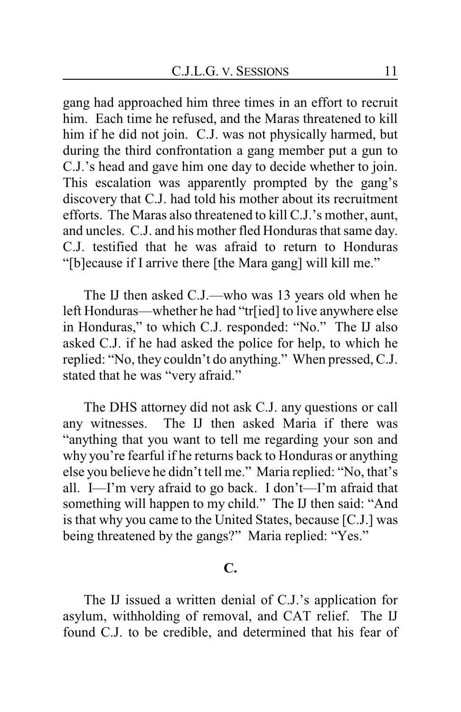gang had approached him three times in an effort to recruit him. Each time he refused, and the Maras threatened to kill him if he did not join. C.J. was not physically harmed, but during the third confrontation a gang member put a gun to C.J.'s head and gave him one day to decide whether to join. This escalation was apparently prompted by the gang's discovery that C.J. had told his mother about its recruitment efforts. The Maras also threatened to kill C.J.'s mother, aunt, and uncles. C.J. and his mother fled Honduras that same day. C.J. testified that he was afraid to return to Honduras "[b]ecause if I arrive there [the Mara gang] will kill me."

The IJ then asked C.J.—who was 13 years old when he left Honduras—whether he had "tr[ied] to live anywhere else in Honduras," to which C.J. responded: "No." The IJ also asked C.J. if he had asked the police for help, to which he replied: "No, they couldn't do anything." When pressed, C.J. stated that he was "very afraid."

The DHS attorney did not ask C.J. any questions or call any witnesses. The IJ then asked Maria if there was "anything that you want to tell me regarding your son and why you're fearful if he returns back to Honduras or anything else you believe he didn't tell me." Maria replied: "No, that's all. I—I'm very afraid to go back. I don't—I'm afraid that something will happen to my child." The IJ then said: "And is that why you came to the United States, because [C.J.] was being threatened by the gangs?" Maria replied: "Yes."

## **C.**

The IJ issued a written denial of C.J.'s application for asylum, withholding of removal, and CAT relief. The IJ found C.J. to be credible, and determined that his fear of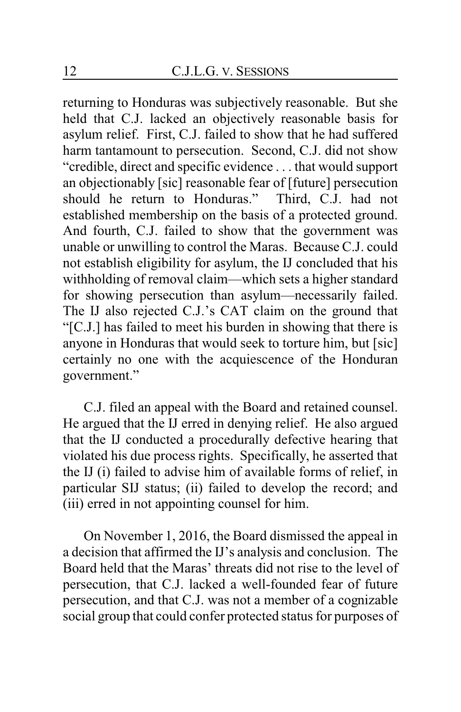returning to Honduras was subjectively reasonable. But she held that C.J. lacked an objectively reasonable basis for asylum relief. First, C.J. failed to show that he had suffered harm tantamount to persecution. Second, C.J. did not show "credible, direct and specific evidence . . . that would support an objectionably [sic] reasonable fear of [future] persecution should he return to Honduras." Third, C.J. had not established membership on the basis of a protected ground. And fourth, C.J. failed to show that the government was unable or unwilling to control the Maras. Because C.J. could not establish eligibility for asylum, the IJ concluded that his withholding of removal claim—which sets a higher standard for showing persecution than asylum—necessarily failed. The IJ also rejected C.J.'s CAT claim on the ground that "[C.J.] has failed to meet his burden in showing that there is anyone in Honduras that would seek to torture him, but [sic] certainly no one with the acquiescence of the Honduran government."

C.J. filed an appeal with the Board and retained counsel. He argued that the IJ erred in denying relief. He also argued that the IJ conducted a procedurally defective hearing that violated his due process rights. Specifically, he asserted that the IJ (i) failed to advise him of available forms of relief, in particular SIJ status; (ii) failed to develop the record; and (iii) erred in not appointing counsel for him.

On November 1, 2016, the Board dismissed the appeal in a decision that affirmed the IJ's analysis and conclusion. The Board held that the Maras' threats did not rise to the level of persecution, that C.J. lacked a well-founded fear of future persecution, and that C.J. was not a member of a cognizable social group that could confer protected status for purposes of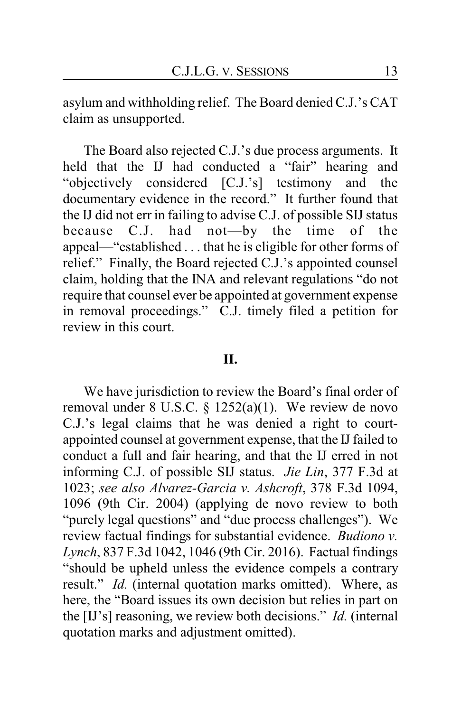asylum and withholding relief. The Board denied C.J.'s CAT claim as unsupported.

The Board also rejected C.J.'s due process arguments. It held that the IJ had conducted a "fair" hearing and "objectively considered [C.J.'s] testimony and the documentary evidence in the record." It further found that the IJ did not err in failing to advise C.J. of possible SIJ status because C.J. had not—by the time of the appeal—"established . . . that he is eligible for other forms of relief." Finally, the Board rejected C.J.'s appointed counsel claim, holding that the INA and relevant regulations "do not require that counsel ever be appointed at government expense in removal proceedings." C.J. timely filed a petition for review in this court.

#### **II.**

We have jurisdiction to review the Board's final order of removal under 8 U.S.C. § 1252(a)(1). We review de novo C.J.'s legal claims that he was denied a right to courtappointed counsel at government expense, that the IJ failed to conduct a full and fair hearing, and that the IJ erred in not informing C.J. of possible SIJ status. *Jie Lin*, 377 F.3d at 1023; *see also Alvarez-Garcia v. Ashcroft*, 378 F.3d 1094, 1096 (9th Cir. 2004) (applying de novo review to both "purely legal questions" and "due process challenges"). We review factual findings for substantial evidence. *Budiono v. Lynch*, 837 F.3d 1042, 1046 (9th Cir. 2016). Factual findings "should be upheld unless the evidence compels a contrary result." *Id.* (internal quotation marks omitted). Where, as here, the "Board issues its own decision but relies in part on the [IJ's] reasoning, we review both decisions." *Id.* (internal quotation marks and adjustment omitted).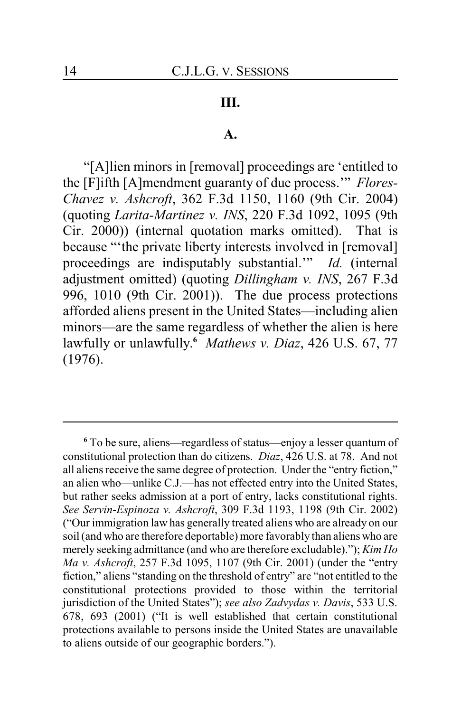## **III.**

#### **A.**

"[A]lien minors in [removal] proceedings are 'entitled to the [F]ifth [A]mendment guaranty of due process.'" *Flores-Chavez v. Ashcroft*, 362 F.3d 1150, 1160 (9th Cir. 2004) (quoting *Larita-Martinez v. INS*, 220 F.3d 1092, 1095 (9th Cir. 2000)) (internal quotation marks omitted). That is because "'the private liberty interests involved in [removal] proceedings are indisputably substantial.'" *Id.* (internal adjustment omitted) (quoting *Dillingham v. INS*, 267 F.3d 996, 1010 (9th Cir. 2001)). The due process protections afforded aliens present in the United States—including alien minors—are the same regardless of whether the alien is here lawfully or unlawfully. **<sup>6</sup>** *Mathews v. Diaz*, 426 U.S. 67, 77 (1976).

**<sup>6</sup>** To be sure, aliens—regardless of status—enjoy a lesser quantum of constitutional protection than do citizens. *Diaz*, 426 U.S. at 78. And not all aliens receive the same degree of protection. Under the "entry fiction," an alien who—unlike C.J.—has not effected entry into the United States, but rather seeks admission at a port of entry, lacks constitutional rights. *See Servin-Espinoza v. Ashcroft*, 309 F.3d 1193, 1198 (9th Cir. 2002) ("Our immigration law has generally treated aliens who are already on our soil (and who are therefore deportable) more favorably than aliens who are merely seeking admittance (and who are therefore excludable)."); *Kim Ho Ma v. Ashcroft*, 257 F.3d 1095, 1107 (9th Cir. 2001) (under the "entry fiction," aliens "standing on the threshold of entry" are "not entitled to the constitutional protections provided to those within the territorial jurisdiction of the United States"); *see also Zadvydas v. Davis*, 533 U.S. 678, 693 (2001) ("It is well established that certain constitutional protections available to persons inside the United States are unavailable to aliens outside of our geographic borders.").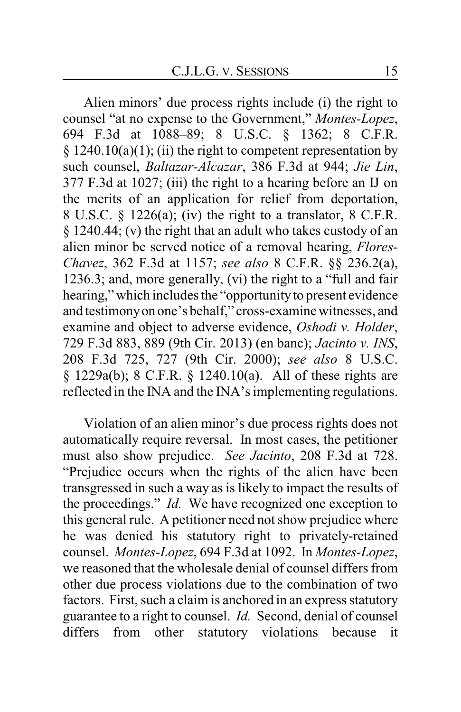Alien minors' due process rights include (i) the right to counsel "at no expense to the Government," *Montes-Lopez*, 694 F.3d at 1088–89; 8 U.S.C. § 1362; 8 C.F.R.  $§$  1240.10(a)(1); (ii) the right to competent representation by such counsel, *Baltazar-Alcazar*, 386 F.3d at 944; *Jie Lin*, 377 F.3d at 1027; (iii) the right to a hearing before an IJ on the merits of an application for relief from deportation, 8 U.S.C.  $\frac{1226(a)}{i}$ ; (iv) the right to a translator, 8 C.F.R. § 1240.44; (v) the right that an adult who takes custody of an alien minor be served notice of a removal hearing, *Flores-Chavez*, 362 F.3d at 1157; *see also* 8 C.F.R. §§ 236.2(a), 1236.3; and, more generally, (vi) the right to a "full and fair hearing," which includes the "opportunity to present evidence and testimonyon one's behalf," cross-examine witnesses, and examine and object to adverse evidence, *Oshodi v. Holder*, 729 F.3d 883, 889 (9th Cir. 2013) (en banc); *Jacinto v. INS*, 208 F.3d 725, 727 (9th Cir. 2000); *see also* 8 U.S.C. § 1229a(b); 8 C.F.R. § 1240.10(a). All of these rights are reflected in the INA and the INA's implementing regulations.

Violation of an alien minor's due process rights does not automatically require reversal. In most cases, the petitioner must also show prejudice. *See Jacinto*, 208 F.3d at 728. "Prejudice occurs when the rights of the alien have been transgressed in such a way as is likely to impact the results of the proceedings." *Id.* We have recognized one exception to this general rule. A petitioner need not show prejudice where he was denied his statutory right to privately-retained counsel. *Montes-Lopez*, 694 F.3d at 1092. In *Montes-Lopez*, we reasoned that the wholesale denial of counsel differs from other due process violations due to the combination of two factors. First, such a claim is anchored in an express statutory guarantee to a right to counsel. *Id.* Second, denial of counsel differs from other statutory violations because it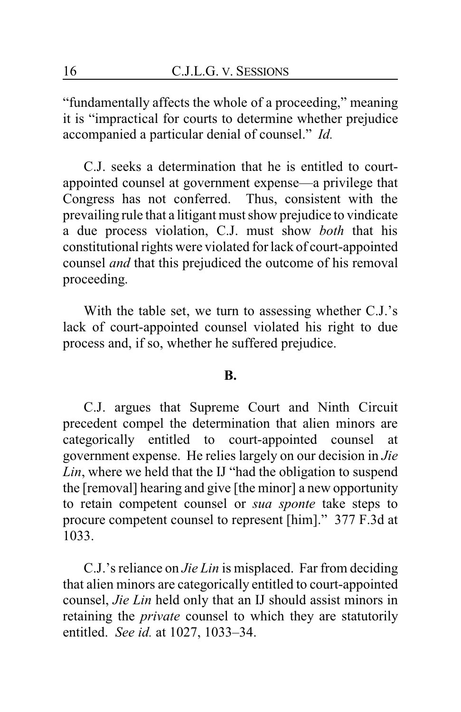"fundamentally affects the whole of a proceeding," meaning it is "impractical for courts to determine whether prejudice accompanied a particular denial of counsel." *Id.*

C.J. seeks a determination that he is entitled to courtappointed counsel at government expense—a privilege that Congress has not conferred. Thus, consistent with the prevailing rule that a litigant must show prejudice to vindicate a due process violation, C.J. must show *both* that his constitutional rights were violated for lack of court-appointed counsel *and* that this prejudiced the outcome of his removal proceeding.

With the table set, we turn to assessing whether C.J.'s lack of court-appointed counsel violated his right to due process and, if so, whether he suffered prejudice.

#### **B.**

C.J. argues that Supreme Court and Ninth Circuit precedent compel the determination that alien minors are categorically entitled to court-appointed counsel at government expense. He relies largely on our decision in *Jie Lin*, where we held that the IJ "had the obligation to suspend the [removal] hearing and give [the minor] a new opportunity to retain competent counsel or *sua sponte* take steps to procure competent counsel to represent [him]." 377 F.3d at 1033.

C.J.'s reliance on *Jie Lin* is misplaced. Far from deciding that alien minors are categorically entitled to court-appointed counsel, *Jie Lin* held only that an IJ should assist minors in retaining the *private* counsel to which they are statutorily entitled. *See id.* at 1027, 1033–34.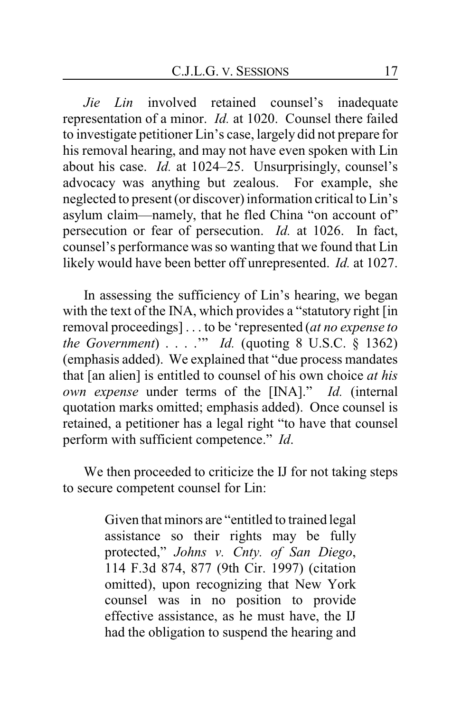*Jie Lin* involved retained counsel's inadequate representation of a minor. *Id.* at 1020. Counsel there failed to investigate petitioner Lin's case, largely did not prepare for his removal hearing, and may not have even spoken with Lin about his case. *Id.* at 1024–25. Unsurprisingly, counsel's advocacy was anything but zealous. For example, she neglected to present (or discover) information critical to Lin's asylum claim—namely, that he fled China "on account of" persecution or fear of persecution. *Id.* at 1026. In fact, counsel's performance was so wanting that we found that Lin likely would have been better off unrepresented. *Id.* at 1027.

In assessing the sufficiency of Lin's hearing, we began with the text of the INA, which provides a "statutory right [in removal proceedings] . . . to be 'represented (*at no expense to the Government*) . . . .'" *Id.* (quoting 8 U.S.C. § 1362) (emphasis added). We explained that "due process mandates that [an alien] is entitled to counsel of his own choice *at his own expense* under terms of the [INA]." *Id.* (internal quotation marks omitted; emphasis added). Once counsel is retained, a petitioner has a legal right "to have that counsel perform with sufficient competence." *Id*.

We then proceeded to criticize the IJ for not taking steps to secure competent counsel for Lin:

> Given that minors are "entitled to trained legal assistance so their rights may be fully protected," *Johns v. Cnty. of San Diego*, 114 F.3d 874, 877 (9th Cir. 1997) (citation omitted), upon recognizing that New York counsel was in no position to provide effective assistance, as he must have, the IJ had the obligation to suspend the hearing and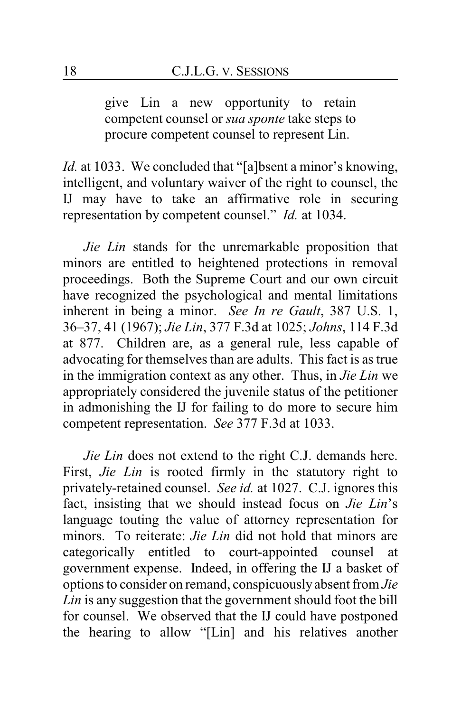give Lin a new opportunity to retain competent counsel or *sua sponte* take steps to procure competent counsel to represent Lin.

*Id.* at 1033. We concluded that "[a]bsent a minor's knowing, intelligent, and voluntary waiver of the right to counsel, the IJ may have to take an affirmative role in securing representation by competent counsel." *Id.* at 1034.

*Jie Lin* stands for the unremarkable proposition that minors are entitled to heightened protections in removal proceedings. Both the Supreme Court and our own circuit have recognized the psychological and mental limitations inherent in being a minor. *See In re Gault*, 387 U.S. 1, 36–37, 41 (1967); *Jie Lin*, 377 F.3d at 1025; *Johns*, 114 F.3d at 877. Children are, as a general rule, less capable of advocating for themselves than are adults. This fact is as true in the immigration context as any other. Thus, in *Jie Lin* we appropriately considered the juvenile status of the petitioner in admonishing the IJ for failing to do more to secure him competent representation. *See* 377 F.3d at 1033.

*Jie Lin* does not extend to the right C.J. demands here. First, *Jie Lin* is rooted firmly in the statutory right to privately-retained counsel. *See id.* at 1027. C.J. ignores this fact, insisting that we should instead focus on *Jie Lin*'s language touting the value of attorney representation for minors. To reiterate: *Jie Lin* did not hold that minors are categorically entitled to court-appointed counsel at government expense. Indeed, in offering the IJ a basket of options to consider on remand, conspicuously absent from *Jie Lin* is any suggestion that the government should foot the bill for counsel. We observed that the IJ could have postponed the hearing to allow "[Lin] and his relatives another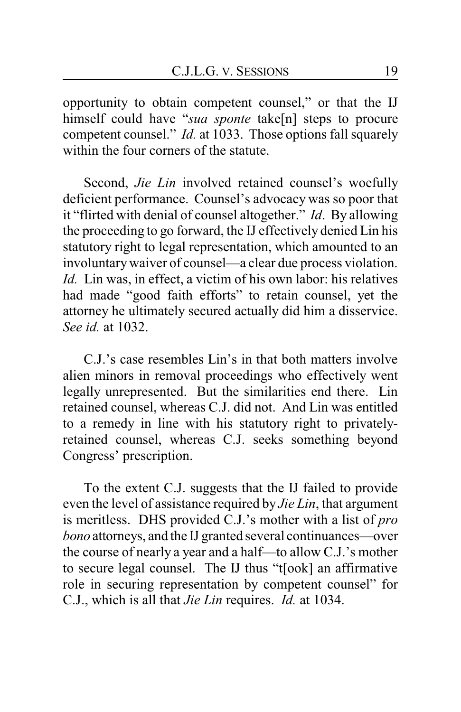opportunity to obtain competent counsel," or that the IJ himself could have "*sua sponte* take[n] steps to procure competent counsel." *Id.* at 1033. Those options fall squarely within the four corners of the statute.

Second, *Jie Lin* involved retained counsel's woefully deficient performance. Counsel's advocacy was so poor that it "flirted with denial of counsel altogether." *Id*. By allowing the proceeding to go forward, the IJ effectively denied Lin his statutory right to legal representation, which amounted to an involuntarywaiver of counsel—a clear due process violation. *Id.* Lin was, in effect, a victim of his own labor: his relatives had made "good faith efforts" to retain counsel, yet the attorney he ultimately secured actually did him a disservice. *See id.* at 1032.

C.J.'s case resembles Lin's in that both matters involve alien minors in removal proceedings who effectively went legally unrepresented. But the similarities end there. Lin retained counsel, whereas C.J. did not. And Lin was entitled to a remedy in line with his statutory right to privatelyretained counsel, whereas C.J. seeks something beyond Congress' prescription.

To the extent C.J. suggests that the IJ failed to provide even the level of assistance required by *Jie Lin*, that argument is meritless. DHS provided C.J.'s mother with a list of *pro bono* attorneys, and the IJ granted several continuances—over the course of nearly a year and a half—to allow C.J.'s mother to secure legal counsel. The IJ thus "t[ook] an affirmative role in securing representation by competent counsel" for C.J., which is all that *Jie Lin* requires. *Id.* at 1034.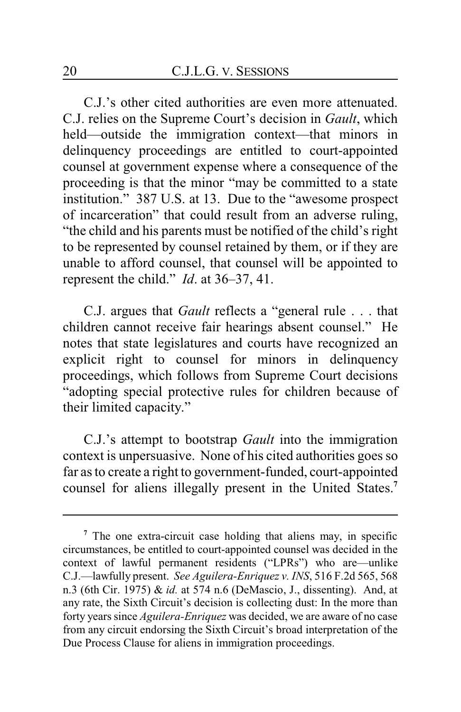C.J.'s other cited authorities are even more attenuated. C.J. relies on the Supreme Court's decision in *Gault*, which held—outside the immigration context—that minors in delinquency proceedings are entitled to court-appointed counsel at government expense where a consequence of the proceeding is that the minor "may be committed to a state institution." 387 U.S. at 13. Due to the "awesome prospect of incarceration" that could result from an adverse ruling, "the child and his parents must be notified of the child's right to be represented by counsel retained by them, or if they are unable to afford counsel, that counsel will be appointed to represent the child." *Id*. at 36–37, 41.

C.J. argues that *Gault* reflects a "general rule . . . that children cannot receive fair hearings absent counsel." He notes that state legislatures and courts have recognized an explicit right to counsel for minors in delinquency proceedings, which follows from Supreme Court decisions "adopting special protective rules for children because of their limited capacity."

C.J.'s attempt to bootstrap *Gault* into the immigration context is unpersuasive. None of his cited authorities goes so far as to create a right to government-funded, court-appointed counsel for aliens illegally present in the United States.**<sup>7</sup>**

**<sup>7</sup>** The one extra-circuit case holding that aliens may, in specific circumstances, be entitled to court-appointed counsel was decided in the context of lawful permanent residents ("LPRs") who are—unlike C.J.—lawfully present. *See Aguilera-Enriquez v. INS*, 516 F.2d 565, 568 n.3 (6th Cir. 1975) & *id.* at 574 n.6 (DeMascio, J., dissenting). And, at any rate, the Sixth Circuit's decision is collecting dust: In the more than forty years since *Aguilera-Enriquez* was decided, we are aware of no case from any circuit endorsing the Sixth Circuit's broad interpretation of the Due Process Clause for aliens in immigration proceedings.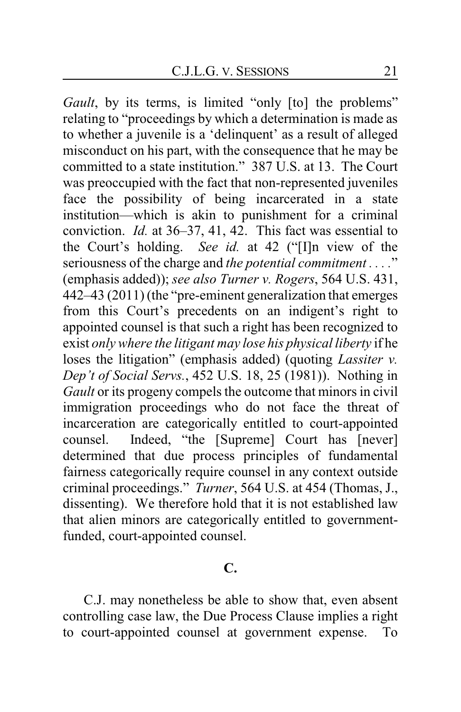*Gault*, by its terms, is limited "only [to] the problems" relating to "proceedings by which a determination is made as to whether a juvenile is a 'delinquent' as a result of alleged misconduct on his part, with the consequence that he may be committed to a state institution." 387 U.S. at 13. The Court was preoccupied with the fact that non-represented juveniles face the possibility of being incarcerated in a state institution—which is akin to punishment for a criminal conviction. *Id.* at 36–37, 41, 42. This fact was essential to the Court's holding. *See id.* at 42 ("[I]n view of the seriousness of the charge and *the potential commitment . . . .*" (emphasis added)); *see also Turner v. Rogers*, 564 U.S. 431, 442–43 (2011) (the "pre-eminent generalization that emerges from this Court's precedents on an indigent's right to appointed counsel is that such a right has been recognized to exist *only where the litigant may lose his physical liberty* if he loses the litigation" (emphasis added) (quoting *Lassiter v. Dep't of Social Servs.*, 452 U.S. 18, 25 (1981)). Nothing in *Gault* or its progeny compels the outcome that minors in civil immigration proceedings who do not face the threat of incarceration are categorically entitled to court-appointed counsel. Indeed, "the [Supreme] Court has [never] determined that due process principles of fundamental fairness categorically require counsel in any context outside criminal proceedings." *Turner*, 564 U.S. at 454 (Thomas, J., dissenting). We therefore hold that it is not established law that alien minors are categorically entitled to governmentfunded, court-appointed counsel.

## **C.**

C.J. may nonetheless be able to show that, even absent controlling case law, the Due Process Clause implies a right to court-appointed counsel at government expense. To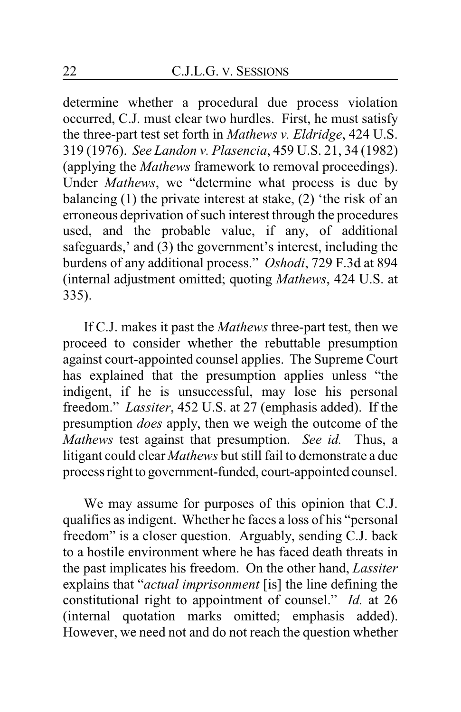determine whether a procedural due process violation occurred, C.J. must clear two hurdles. First, he must satisfy the three-part test set forth in *Mathews v. Eldridge*, 424 U.S. 319 (1976). *See Landon v. Plasencia*, 459 U.S. 21, 34 (1982) (applying the *Mathews* framework to removal proceedings). Under *Mathews*, we "determine what process is due by balancing (1) the private interest at stake, (2) 'the risk of an erroneous deprivation of such interest through the procedures used, and the probable value, if any, of additional safeguards,' and (3) the government's interest, including the burdens of any additional process." *Oshodi*, 729 F.3d at 894 (internal adjustment omitted; quoting *Mathews*, 424 U.S. at 335).

If C.J. makes it past the *Mathews* three-part test, then we proceed to consider whether the rebuttable presumption against court-appointed counsel applies. The Supreme Court has explained that the presumption applies unless "the indigent, if he is unsuccessful, may lose his personal freedom." *Lassiter*, 452 U.S. at 27 (emphasis added). If the presumption *does* apply, then we weigh the outcome of the *Mathews* test against that presumption. *See id.* Thus, a litigant could clear *Mathews* but still fail to demonstrate a due process right to government-funded, court-appointed counsel.

We may assume for purposes of this opinion that C.J. qualifies as indigent. Whether he faces a loss of his "personal freedom" is a closer question. Arguably, sending C.J. back to a hostile environment where he has faced death threats in the past implicates his freedom. On the other hand, *Lassiter* explains that "*actual imprisonment* [is] the line defining the constitutional right to appointment of counsel." *Id.* at 26 (internal quotation marks omitted; emphasis added). However, we need not and do not reach the question whether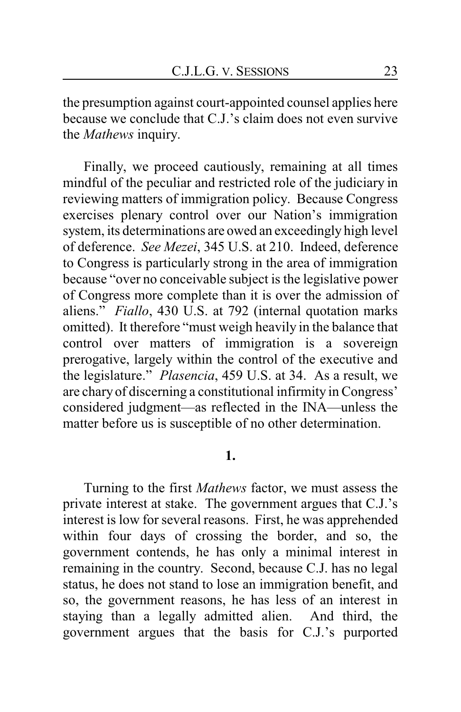the presumption against court-appointed counsel applies here because we conclude that C.J.'s claim does not even survive the *Mathews* inquiry.

Finally, we proceed cautiously, remaining at all times mindful of the peculiar and restricted role of the judiciary in reviewing matters of immigration policy. Because Congress exercises plenary control over our Nation's immigration system, its determinations are owed an exceedingly high level of deference. *See Mezei*, 345 U.S. at 210. Indeed, deference to Congress is particularly strong in the area of immigration because "over no conceivable subject is the legislative power of Congress more complete than it is over the admission of aliens." *Fiallo*, 430 U.S. at 792 (internal quotation marks omitted). It therefore "must weigh heavily in the balance that control over matters of immigration is a sovereign prerogative, largely within the control of the executive and the legislature." *Plasencia*, 459 U.S. at 34. As a result, we are chary of discerning a constitutional infirmity in Congress' considered judgment—as reflected in the INA—unless the matter before us is susceptible of no other determination.

#### **1.**

Turning to the first *Mathews* factor, we must assess the private interest at stake. The government argues that C.J.'s interest is low for several reasons. First, he was apprehended within four days of crossing the border, and so, the government contends, he has only a minimal interest in remaining in the country. Second, because C.J. has no legal status, he does not stand to lose an immigration benefit, and so, the government reasons, he has less of an interest in staying than a legally admitted alien. And third, the government argues that the basis for C.J.'s purported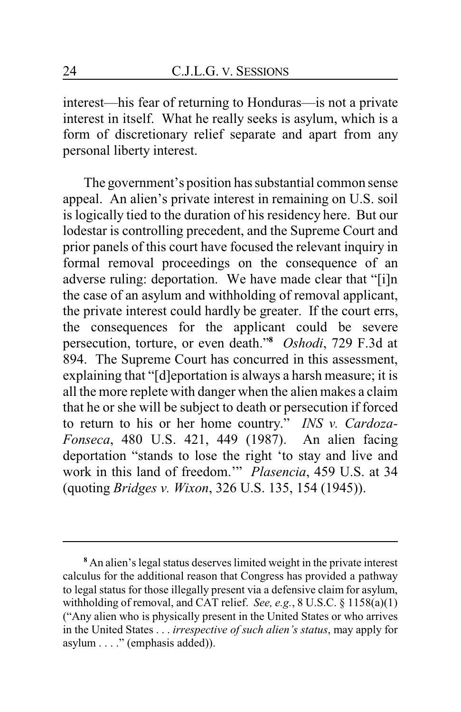interest—his fear of returning to Honduras—is not a private interest in itself. What he really seeks is asylum, which is a form of discretionary relief separate and apart from any personal liberty interest.

The government's position has substantial common sense appeal. An alien's private interest in remaining on U.S. soil is logically tied to the duration of his residency here. But our lodestar is controlling precedent, and the Supreme Court and prior panels of this court have focused the relevant inquiry in formal removal proceedings on the consequence of an adverse ruling: deportation. We have made clear that "[i]n the case of an asylum and withholding of removal applicant, the private interest could hardly be greater. If the court errs, the consequences for the applicant could be severe persecution, torture, or even death."**<sup>8</sup>** *Oshodi*, 729 F.3d at 894. The Supreme Court has concurred in this assessment, explaining that "[d]eportation is always a harsh measure; it is all the more replete with danger when the alien makes a claim that he or she will be subject to death or persecution if forced to return to his or her home country." *INS v. Cardoza-Fonseca*, 480 U.S. 421, 449 (1987). An alien facing deportation "stands to lose the right 'to stay and live and work in this land of freedom.'" *Plasencia*, 459 U.S. at 34 (quoting *Bridges v. Wixon*, 326 U.S. 135, 154 (1945)).

**<sup>8</sup>** An alien's legal status deserves limited weight in the private interest calculus for the additional reason that Congress has provided a pathway to legal status for those illegally present via a defensive claim for asylum, withholding of removal, and CAT relief. *See, e.g.*, 8 U.S.C. § 1158(a)(1) ("Any alien who is physically present in the United States or who arrives in the United States . . . *irrespective of such alien's status*, may apply for asylum . . . ." (emphasis added)).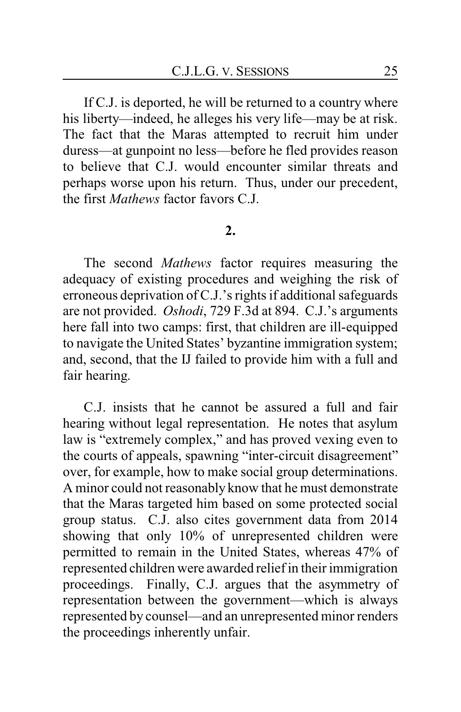If C.J. is deported, he will be returned to a country where his liberty—indeed, he alleges his very life—may be at risk. The fact that the Maras attempted to recruit him under duress—at gunpoint no less—before he fled provides reason to believe that C.J. would encounter similar threats and perhaps worse upon his return. Thus, under our precedent, the first *Mathews* factor favors C.J.

#### **2.**

The second *Mathews* factor requires measuring the adequacy of existing procedures and weighing the risk of erroneous deprivation of C.J.'s rights if additional safeguards are not provided. *Oshodi*, 729 F.3d at 894. C.J.'s arguments here fall into two camps: first, that children are ill-equipped to navigate the United States' byzantine immigration system; and, second, that the IJ failed to provide him with a full and fair hearing.

C.J. insists that he cannot be assured a full and fair hearing without legal representation. He notes that asylum law is "extremely complex," and has proved vexing even to the courts of appeals, spawning "inter-circuit disagreement" over, for example, how to make social group determinations. A minor could not reasonably know that he must demonstrate that the Maras targeted him based on some protected social group status. C.J. also cites government data from 2014 showing that only 10% of unrepresented children were permitted to remain in the United States, whereas 47% of represented children were awarded relief in their immigration proceedings. Finally, C.J. argues that the asymmetry of representation between the government—which is always represented by counsel—and an unrepresented minor renders the proceedings inherently unfair.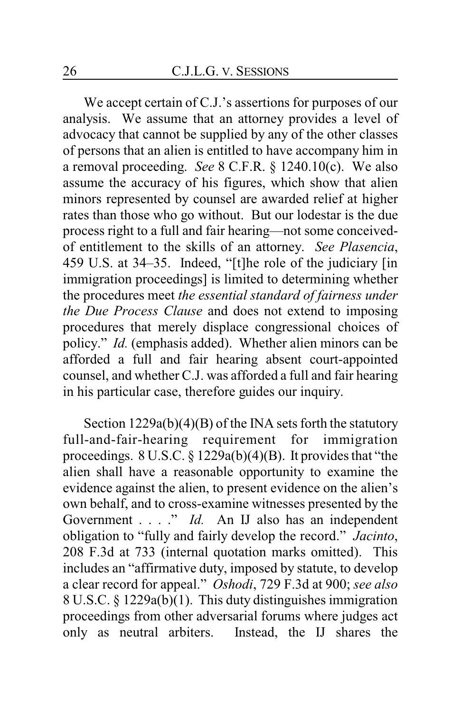We accept certain of C.J.'s assertions for purposes of our analysis. We assume that an attorney provides a level of advocacy that cannot be supplied by any of the other classes of persons that an alien is entitled to have accompany him in a removal proceeding. *See* 8 C.F.R. § 1240.10(c). We also assume the accuracy of his figures, which show that alien minors represented by counsel are awarded relief at higher rates than those who go without. But our lodestar is the due process right to a full and fair hearing—not some conceivedof entitlement to the skills of an attorney. *See Plasencia*, 459 U.S. at 34–35. Indeed, "[t]he role of the judiciary [in immigration proceedings] is limited to determining whether the procedures meet *the essential standard of fairness under the Due Process Clause* and does not extend to imposing procedures that merely displace congressional choices of policy." *Id.* (emphasis added). Whether alien minors can be afforded a full and fair hearing absent court-appointed counsel, and whether C.J. was afforded a full and fair hearing in his particular case, therefore guides our inquiry.

Section 1229a(b)(4)(B) of the INA sets forth the statutory full-and-fair-hearing requirement for immigration proceedings. 8 U.S.C. § 1229a(b)(4)(B). It provides that "the alien shall have a reasonable opportunity to examine the evidence against the alien, to present evidence on the alien's own behalf, and to cross-examine witnesses presented by the Government . . . ." *Id.* An IJ also has an independent obligation to "fully and fairly develop the record." *Jacinto*, 208 F.3d at 733 (internal quotation marks omitted). This includes an "affirmative duty, imposed by statute, to develop a clear record for appeal." *Oshodi*, 729 F.3d at 900; *see also* 8 U.S.C. § 1229a(b)(1). This duty distinguishes immigration proceedings from other adversarial forums where judges act only as neutral arbiters. Instead, the IJ shares the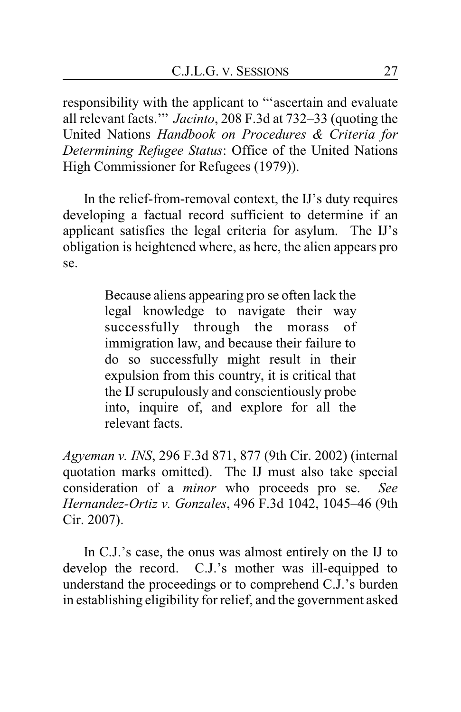responsibility with the applicant to "'ascertain and evaluate all relevant facts.'" *Jacinto*, 208 F.3d at 732–33 (quoting the United Nations *Handbook on Procedures & Criteria for Determining Refugee Status*: Office of the United Nations High Commissioner for Refugees (1979)).

In the relief-from-removal context, the IJ's duty requires developing a factual record sufficient to determine if an applicant satisfies the legal criteria for asylum. The IJ's obligation is heightened where, as here, the alien appears pro se.

> Because aliens appearing pro se often lack the legal knowledge to navigate their way successfully through the morass of immigration law, and because their failure to do so successfully might result in their expulsion from this country, it is critical that the IJ scrupulously and conscientiously probe into, inquire of, and explore for all the relevant facts.

*Agyeman v. INS*, 296 F.3d 871, 877 (9th Cir. 2002) (internal quotation marks omitted). The IJ must also take special consideration of a *minor* who proceeds pro se. *See Hernandez-Ortiz v. Gonzales*, 496 F.3d 1042, 1045–46 (9th Cir. 2007).

In C.J.'s case, the onus was almost entirely on the IJ to develop the record. C.J.'s mother was ill-equipped to understand the proceedings or to comprehend C.J.'s burden in establishing eligibility for relief, and the government asked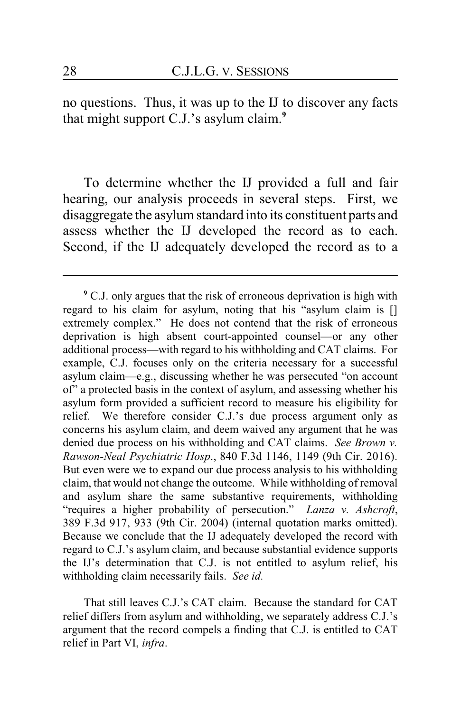no questions. Thus, it was up to the IJ to discover any facts that might support C.J.'s asylum claim.**<sup>9</sup>**

To determine whether the IJ provided a full and fair hearing, our analysis proceeds in several steps. First, we disaggregate the asylum standard into its constituent parts and assess whether the IJ developed the record as to each. Second, if the IJ adequately developed the record as to a

**<sup>9</sup>** C.J. only argues that the risk of erroneous deprivation is high with regard to his claim for asylum, noting that his "asylum claim is [] extremely complex." He does not contend that the risk of erroneous deprivation is high absent court-appointed counsel—or any other additional process—with regard to his withholding and CAT claims. For example, C.J. focuses only on the criteria necessary for a successful asylum claim—e.g., discussing whether he was persecuted "on account of" a protected basis in the context of asylum, and assessing whether his asylum form provided a sufficient record to measure his eligibility for relief. We therefore consider C.J.'s due process argument only as concerns his asylum claim, and deem waived any argument that he was denied due process on his withholding and CAT claims. *See Brown v. Rawson-Neal Psychiatric Hosp*., 840 F.3d 1146, 1149 (9th Cir. 2016). But even were we to expand our due process analysis to his withholding claim, that would not change the outcome. While withholding of removal and asylum share the same substantive requirements, withholding "requires a higher probability of persecution." *Lanza v. Ashcroft*, 389 F.3d 917, 933 (9th Cir. 2004) (internal quotation marks omitted). Because we conclude that the IJ adequately developed the record with regard to C.J.'s asylum claim, and because substantial evidence supports the IJ's determination that C.J. is not entitled to asylum relief, his withholding claim necessarily fails. *See id.*

That still leaves C.J.'s CAT claim. Because the standard for CAT relief differs from asylum and withholding, we separately address C.J.'s argument that the record compels a finding that C.J. is entitled to CAT relief in Part VI, *infra*.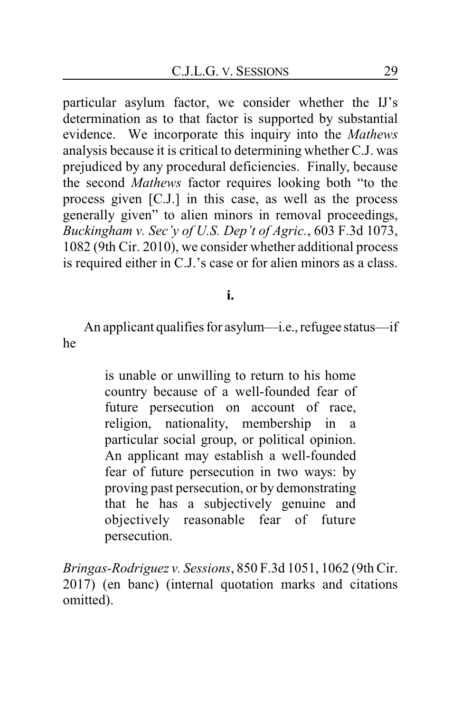particular asylum factor, we consider whether the IJ's determination as to that factor is supported by substantial evidence. We incorporate this inquiry into the *Mathews* analysis because it is critical to determining whether C.J. was prejudiced by any procedural deficiencies. Finally, because the second *Mathews* factor requires looking both "to the process given [C.J.] in this case, as well as the process generally given" to alien minors in removal proceedings, *Buckingham v. Sec'y of U.S. Dep't of Agric.*, 603 F.3d 1073, 1082 (9th Cir. 2010), we consider whether additional process is required either in C.J.'s case or for alien minors as a class.

## **i.**

An applicant qualifies for asylum—i.e., refugee status—if he

> is unable or unwilling to return to his home country because of a well-founded fear of future persecution on account of race, religion, nationality, membership in a particular social group, or political opinion. An applicant may establish a well-founded fear of future persecution in two ways: by proving past persecution, or by demonstrating that he has a subjectively genuine and objectively reasonable fear of future persecution.

*Bringas-Rodriguez v. Sessions*, 850 F.3d 1051, 1062 (9th Cir. 2017) (en banc) (internal quotation marks and citations omitted).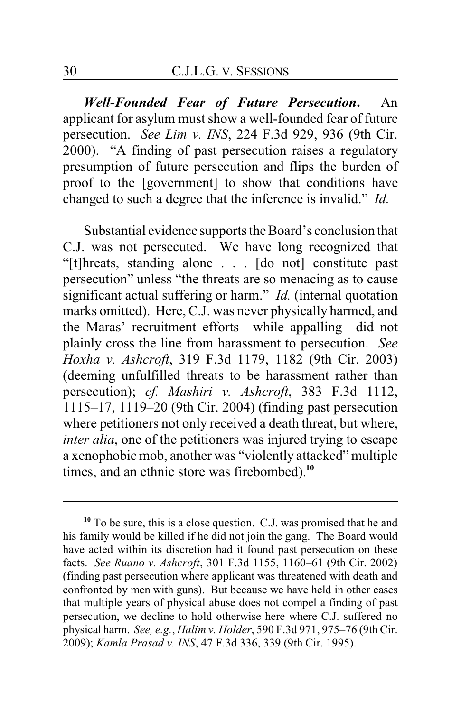*Well-Founded Fear of Future Persecution***.** An applicant for asylum must show a well-founded fear of future persecution. *See Lim v. INS*, 224 F.3d 929, 936 (9th Cir. 2000). "A finding of past persecution raises a regulatory presumption of future persecution and flips the burden of proof to the [government] to show that conditions have changed to such a degree that the inference is invalid." *Id.*

Substantial evidence supports the Board's conclusion that C.J. was not persecuted. We have long recognized that "[t]hreats, standing alone . . . [do not] constitute past persecution" unless "the threats are so menacing as to cause significant actual suffering or harm." *Id.* (internal quotation marks omitted). Here, C.J. was never physically harmed, and the Maras' recruitment efforts—while appalling—did not plainly cross the line from harassment to persecution. *See Hoxha v. Ashcroft*, 319 F.3d 1179, 1182 (9th Cir. 2003) (deeming unfulfilled threats to be harassment rather than persecution); *cf. Mashiri v. Ashcroft*, 383 F.3d 1112, 1115–17, 1119–20 (9th Cir. 2004) (finding past persecution where petitioners not only received a death threat, but where, *inter alia*, one of the petitioners was injured trying to escape a xenophobic mob, another was "violently attacked" multiple times, and an ethnic store was firebombed).**<sup>10</sup>**

**<sup>10</sup>** To be sure, this is a close question. C.J. was promised that he and his family would be killed if he did not join the gang. The Board would have acted within its discretion had it found past persecution on these facts. *See Ruano v. Ashcroft*, 301 F.3d 1155, 1160–61 (9th Cir. 2002) (finding past persecution where applicant was threatened with death and confronted by men with guns). But because we have held in other cases that multiple years of physical abuse does not compel a finding of past persecution, we decline to hold otherwise here where C.J. suffered no physical harm. *See, e.g.*, *Halim v. Holder*, 590 F.3d 971, 975–76 (9th Cir. 2009); *Kamla Prasad v. INS*, 47 F.3d 336, 339 (9th Cir. 1995).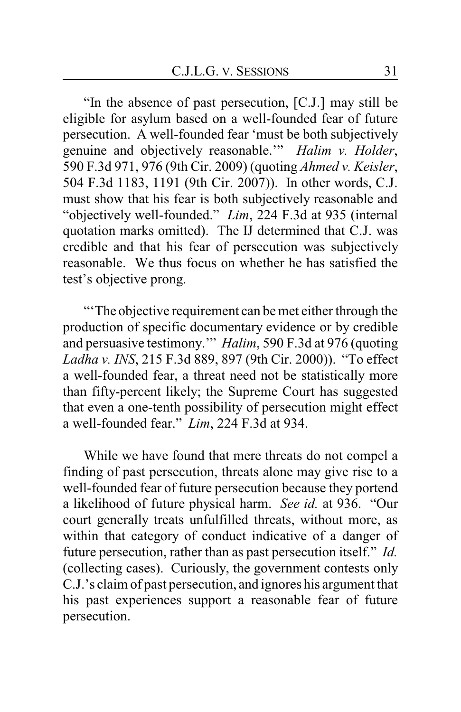"In the absence of past persecution, [C.J.] may still be eligible for asylum based on a well-founded fear of future persecution. A well-founded fear 'must be both subjectively genuine and objectively reasonable.'" *Halim v. Holder*, 590 F.3d 971, 976 (9th Cir. 2009) (quoting *Ahmed v. Keisler*, 504 F.3d 1183, 1191 (9th Cir. 2007)). In other words, C.J. must show that his fear is both subjectively reasonable and "objectively well-founded." *Lim*, 224 F.3d at 935 (internal quotation marks omitted). The IJ determined that C.J. was credible and that his fear of persecution was subjectively reasonable. We thus focus on whether he has satisfied the test's objective prong.

"'The objective requirement can be met either through the production of specific documentary evidence or by credible and persuasive testimony.'" *Halim*, 590 F.3d at 976 (quoting *Ladha v. INS*, 215 F.3d 889, 897 (9th Cir. 2000)). "To effect a well-founded fear, a threat need not be statistically more than fifty-percent likely; the Supreme Court has suggested that even a one-tenth possibility of persecution might effect a well-founded fear." *Lim*, 224 F.3d at 934.

While we have found that mere threats do not compel a finding of past persecution, threats alone may give rise to a well-founded fear of future persecution because they portend a likelihood of future physical harm. *See id.* at 936. "Our court generally treats unfulfilled threats, without more, as within that category of conduct indicative of a danger of future persecution, rather than as past persecution itself." *Id.* (collecting cases). Curiously, the government contests only C.J.'s claim of past persecution, and ignores his argument that his past experiences support a reasonable fear of future persecution.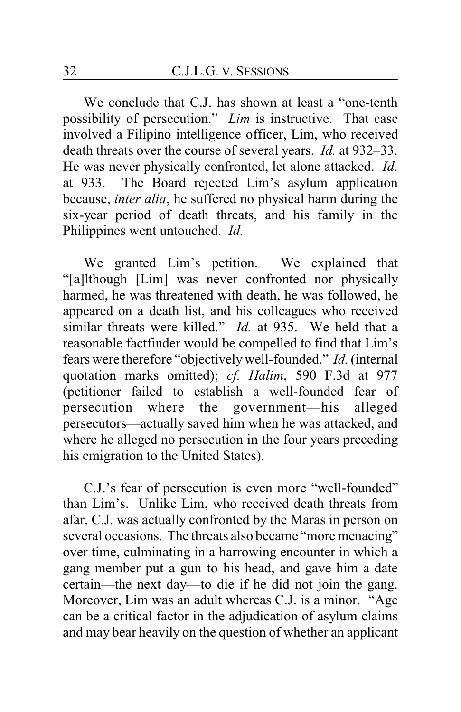We conclude that C.J. has shown at least a "one-tenth possibility of persecution." *Lim* is instructive. That case involved a Filipino intelligence officer, Lim, who received death threats over the course of several years. *Id.* at 932–33. He was never physically confronted, let alone attacked. *Id.* at 933. The Board rejected Lim's asylum application because, *inter alia*, he suffered no physical harm during the six-year period of death threats, and his family in the Philippines went untouched. *Id.*

We granted Lim's petition. We explained that "[a]lthough [Lim] was never confronted nor physically harmed, he was threatened with death, he was followed, he appeared on a death list, and his colleagues who received similar threats were killed." *Id.* at 935. We held that a reasonable factfinder would be compelled to find that Lim's fears were therefore "objectivelywell-founded." *Id.* (internal quotation marks omitted); *cf. Halim*, 590 F.3d at 977 (petitioner failed to establish a well-founded fear of persecution where the government—his alleged persecutors—actually saved him when he was attacked, and where he alleged no persecution in the four years preceding his emigration to the United States).

C.J.'s fear of persecution is even more "well-founded" than Lim's. Unlike Lim, who received death threats from afar, C.J. was actually confronted by the Maras in person on several occasions. The threats also became "more menacing" over time, culminating in a harrowing encounter in which a gang member put a gun to his head, and gave him a date certain—the next day—to die if he did not join the gang. Moreover, Lim was an adult whereas C.J. is a minor. "Age can be a critical factor in the adjudication of asylum claims and may bear heavily on the question of whether an applicant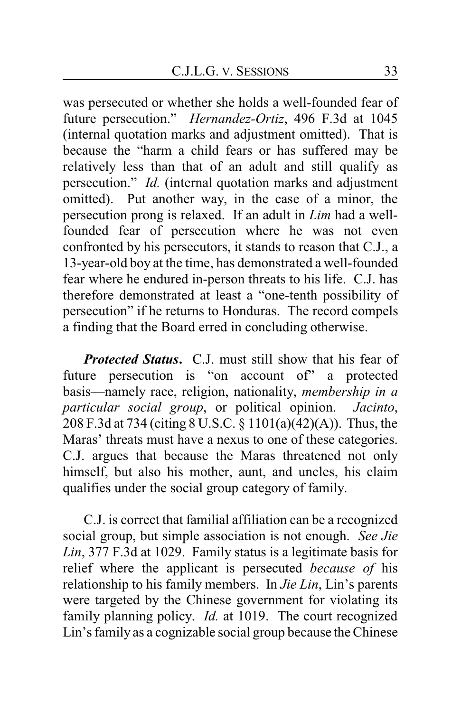was persecuted or whether she holds a well-founded fear of future persecution." *Hernandez-Ortiz*, 496 F.3d at 1045 (internal quotation marks and adjustment omitted). That is because the "harm a child fears or has suffered may be relatively less than that of an adult and still qualify as persecution." *Id.* (internal quotation marks and adjustment omitted). Put another way, in the case of a minor, the persecution prong is relaxed. If an adult in *Lim* had a wellfounded fear of persecution where he was not even confronted by his persecutors, it stands to reason that C.J., a 13-year-old boy at the time, has demonstrated a well-founded fear where he endured in-person threats to his life. C.J. has therefore demonstrated at least a "one-tenth possibility of persecution" if he returns to Honduras. The record compels a finding that the Board erred in concluding otherwise.

*Protected Status***.** C.J. must still show that his fear of future persecution is "on account of" a protected basis—namely race, religion, nationality, *membership in a particular social group*, or political opinion. *Jacinto*, 208 F.3d at 734 (citing 8 U.S.C. § 1101(a)(42)(A)). Thus, the Maras' threats must have a nexus to one of these categories. C.J. argues that because the Maras threatened not only himself, but also his mother, aunt, and uncles, his claim qualifies under the social group category of family.

C.J. is correct that familial affiliation can be a recognized social group, but simple association is not enough. *See Jie Lin*, 377 F.3d at 1029. Family status is a legitimate basis for relief where the applicant is persecuted *because of* his relationship to his family members. In *Jie Lin*, Lin's parents were targeted by the Chinese government for violating its family planning policy. *Id.* at 1019. The court recognized Lin's family as a cognizable social group because the Chinese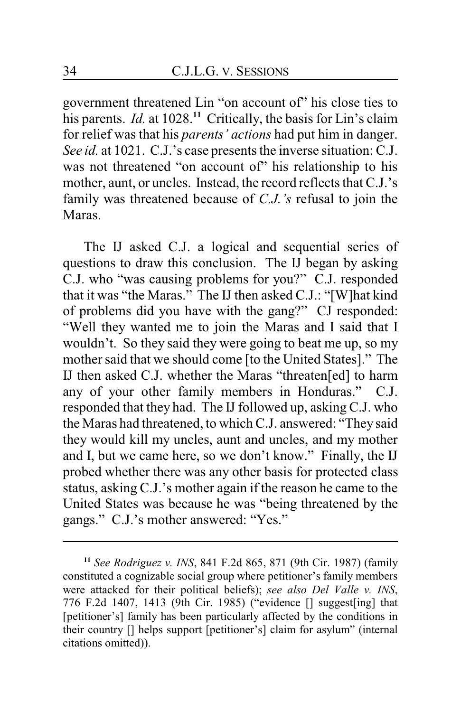government threatened Lin "on account of" his close ties to his parents. *Id.* at 1028.**<sup>11</sup>** Critically, the basis for Lin's claim for relief was that his *parents' actions* had put him in danger. *See id.* at 1021. C.J.'s case presents the inverse situation: C.J. was not threatened "on account of" his relationship to his mother, aunt, or uncles. Instead, the record reflects that C.J.'s family was threatened because of *C.J.'s* refusal to join the Maras.

The IJ asked C.J. a logical and sequential series of questions to draw this conclusion. The IJ began by asking C.J. who "was causing problems for you?" C.J. responded that it was "the Maras." The IJ then asked C.J.: "[W]hat kind of problems did you have with the gang?" CJ responded: "Well they wanted me to join the Maras and I said that I wouldn't. So they said they were going to beat me up, so my mother said that we should come [to the United States]." The IJ then asked C.J. whether the Maras "threaten[ed] to harm any of your other family members in Honduras." C.J. responded that they had. The IJ followed up, asking C.J. who the Maras had threatened, to which C.J. answered: "They said they would kill my uncles, aunt and uncles, and my mother and I, but we came here, so we don't know." Finally, the IJ probed whether there was any other basis for protected class status, asking C.J.'s mother again if the reason he came to the United States was because he was "being threatened by the gangs." C.J.'s mother answered: "Yes."

**<sup>11</sup>** *See Rodriguez v. INS*, 841 F.2d 865, 871 (9th Cir. 1987) (family constituted a cognizable social group where petitioner's family members were attacked for their political beliefs); *see also Del Valle v. INS*, 776 F.2d 1407, 1413 (9th Cir. 1985) ("evidence [] suggest[ing] that [petitioner's] family has been particularly affected by the conditions in their country [] helps support [petitioner's] claim for asylum" (internal citations omitted)).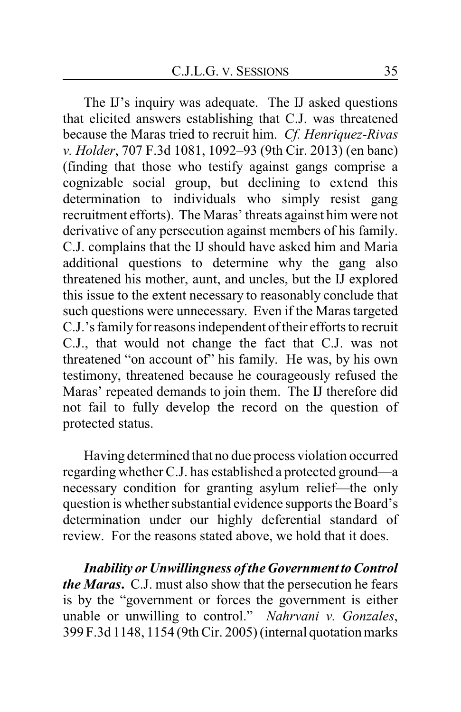The IJ's inquiry was adequate. The IJ asked questions that elicited answers establishing that C.J. was threatened because the Maras tried to recruit him. *Cf. Henriquez-Rivas v. Holder*, 707 F.3d 1081, 1092–93 (9th Cir. 2013) (en banc) (finding that those who testify against gangs comprise a cognizable social group, but declining to extend this determination to individuals who simply resist gang recruitment efforts). The Maras' threats against him were not derivative of any persecution against members of his family. C.J. complains that the IJ should have asked him and Maria additional questions to determine why the gang also threatened his mother, aunt, and uncles, but the IJ explored this issue to the extent necessary to reasonably conclude that such questions were unnecessary. Even if the Maras targeted C.J.'s family for reasons independent of their efforts to recruit C.J., that would not change the fact that C.J. was not threatened "on account of" his family. He was, by his own testimony, threatened because he courageously refused the Maras' repeated demands to join them. The IJ therefore did not fail to fully develop the record on the question of protected status.

Having determined that no due process violation occurred regarding whether C.J. has established a protected ground—a necessary condition for granting asylum relief—the only question is whether substantial evidence supports the Board's determination under our highly deferential standard of review. For the reasons stated above, we hold that it does.

**Inability or Unwillingness of the Government to Control** *the Maras***.** C.J. must also show that the persecution he fears is by the "government or forces the government is either unable or unwilling to control." *Nahrvani v. Gonzales*, 399 F.3d 1148, 1154 (9th Cir. 2005) (internal quotation marks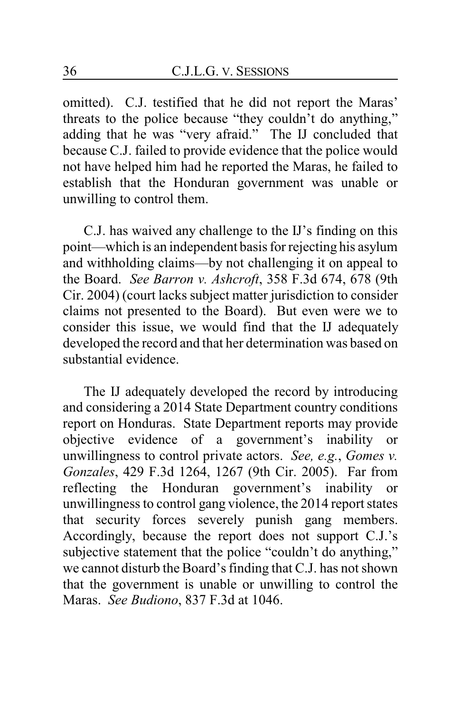omitted). C.J. testified that he did not report the Maras' threats to the police because "they couldn't do anything," adding that he was "very afraid." The IJ concluded that because C.J. failed to provide evidence that the police would not have helped him had he reported the Maras, he failed to establish that the Honduran government was unable or unwilling to control them.

C.J. has waived any challenge to the IJ's finding on this point—which is an independent basis for rejecting his asylum and withholding claims—by not challenging it on appeal to the Board. *See Barron v. Ashcroft*, 358 F.3d 674, 678 (9th Cir. 2004) (court lacks subject matter jurisdiction to consider claims not presented to the Board). But even were we to consider this issue, we would find that the IJ adequately developed the record and that her determination was based on substantial evidence.

The IJ adequately developed the record by introducing and considering a 2014 State Department country conditions report on Honduras. State Department reports may provide objective evidence of a government's inability or unwillingness to control private actors. *See, e.g.*, *Gomes v. Gonzales*, 429 F.3d 1264, 1267 (9th Cir. 2005). Far from reflecting the Honduran government's inability or unwillingness to control gang violence, the 2014 report states that security forces severely punish gang members. Accordingly, because the report does not support C.J.'s subjective statement that the police "couldn't do anything," we cannot disturb the Board's finding that C.J. has not shown that the government is unable or unwilling to control the Maras. *See Budiono*, 837 F.3d at 1046.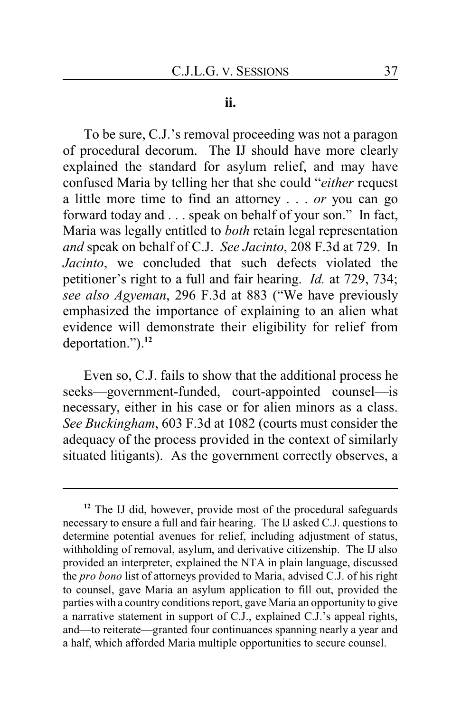#### **ii.**

To be sure, C.J.'s removal proceeding was not a paragon of procedural decorum. The IJ should have more clearly explained the standard for asylum relief, and may have confused Maria by telling her that she could "*either* request a little more time to find an attorney . . . *or* you can go forward today and . . . speak on behalf of your son." In fact, Maria was legally entitled to *both* retain legal representation *and* speak on behalf of C.J. *See Jacinto*, 208 F.3d at 729. In *Jacinto*, we concluded that such defects violated the petitioner's right to a full and fair hearing. *Id.* at 729, 734; *see also Agyeman*, 296 F.3d at 883 ("We have previously emphasized the importance of explaining to an alien what evidence will demonstrate their eligibility for relief from deportation.").**<sup>12</sup>**

Even so, C.J. fails to show that the additional process he seeks—government-funded, court-appointed counsel—is necessary, either in his case or for alien minors as a class. *See Buckingham*, 603 F.3d at 1082 (courts must consider the adequacy of the process provided in the context of similarly situated litigants). As the government correctly observes, a

**<sup>12</sup>** The IJ did, however, provide most of the procedural safeguards necessary to ensure a full and fair hearing. The IJ asked C.J. questions to determine potential avenues for relief, including adjustment of status, withholding of removal, asylum, and derivative citizenship. The IJ also provided an interpreter, explained the NTA in plain language, discussed the *pro bono* list of attorneys provided to Maria, advised C.J. of his right to counsel, gave Maria an asylum application to fill out, provided the parties with a country conditions report, gave Maria an opportunity to give a narrative statement in support of C.J., explained C.J.'s appeal rights, and—to reiterate—granted four continuances spanning nearly a year and a half, which afforded Maria multiple opportunities to secure counsel.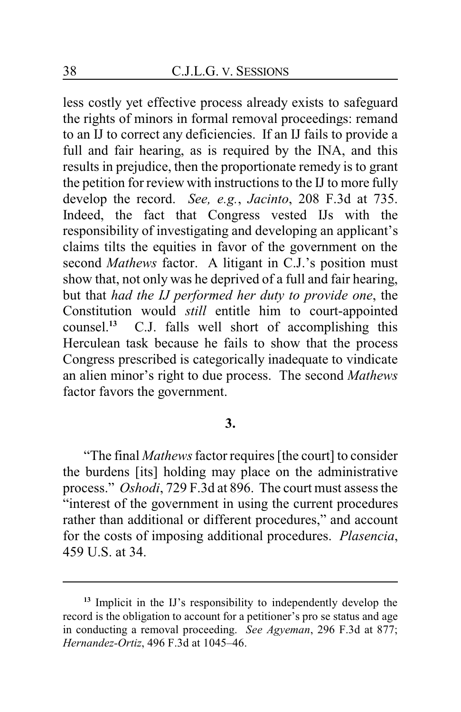less costly yet effective process already exists to safeguard the rights of minors in formal removal proceedings: remand to an IJ to correct any deficiencies. If an IJ fails to provide a full and fair hearing, as is required by the INA, and this results in prejudice, then the proportionate remedy is to grant the petition for review with instructions to the IJ to more fully develop the record. *See, e.g.*, *Jacinto*, 208 F.3d at 735. Indeed, the fact that Congress vested IJs with the responsibility of investigating and developing an applicant's claims tilts the equities in favor of the government on the second *Mathews* factor. A litigant in C.J.'s position must show that, not only was he deprived of a full and fair hearing, but that *had the IJ performed her duty to provide one*, the Constitution would *still* entitle him to court-appointed counsel.<sup>13</sup> C.J. falls well short of accomplishing this C.J. falls well short of accomplishing this Herculean task because he fails to show that the process Congress prescribed is categorically inadequate to vindicate an alien minor's right to due process. The second *Mathews* factor favors the government.

## **3.**

"The final *Mathews*factor requires [the court] to consider the burdens [its] holding may place on the administrative process." *Oshodi*, 729 F.3d at 896. The court must assess the "interest of the government in using the current procedures rather than additional or different procedures," and account for the costs of imposing additional procedures. *Plasencia*, 459 U.S. at 34.

**<sup>13</sup>** Implicit in the IJ's responsibility to independently develop the record is the obligation to account for a petitioner's pro se status and age in conducting a removal proceeding. *See Agyeman*, 296 F.3d at 877; *Hernandez-Ortiz*, 496 F.3d at 1045–46.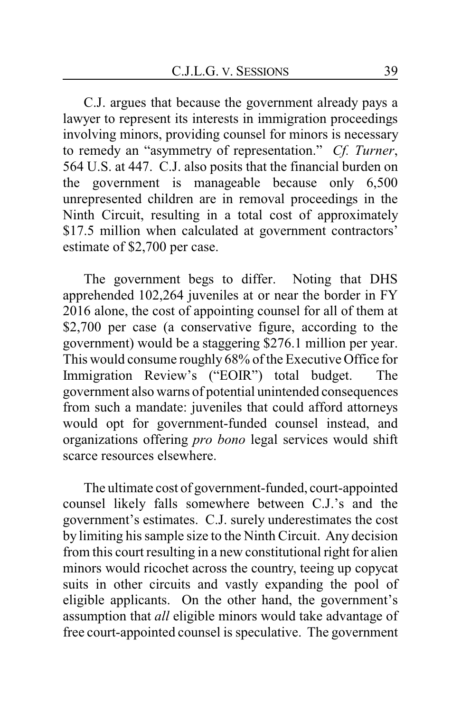C.J. argues that because the government already pays a lawyer to represent its interests in immigration proceedings involving minors, providing counsel for minors is necessary to remedy an "asymmetry of representation." *Cf. Turner*, 564 U.S. at 447. C.J. also posits that the financial burden on the government is manageable because only 6,500 unrepresented children are in removal proceedings in the Ninth Circuit, resulting in a total cost of approximately \$17.5 million when calculated at government contractors' estimate of \$2,700 per case.

The government begs to differ. Noting that DHS apprehended 102,264 juveniles at or near the border in FY 2016 alone, the cost of appointing counsel for all of them at \$2,700 per case (a conservative figure, according to the government) would be a staggering \$276.1 million per year. This would consume roughly 68% of the Executive Office for Immigration Review's ("EOIR") total budget. The government also warns of potential unintended consequences from such a mandate: juveniles that could afford attorneys would opt for government-funded counsel instead, and organizations offering *pro bono* legal services would shift scarce resources elsewhere.

The ultimate cost of government-funded, court-appointed counsel likely falls somewhere between C.J.'s and the government's estimates. C.J. surely underestimates the cost by limiting his sample size to the Ninth Circuit. Any decision from this court resulting in a new constitutional right for alien minors would ricochet across the country, teeing up copycat suits in other circuits and vastly expanding the pool of eligible applicants. On the other hand, the government's assumption that *all* eligible minors would take advantage of free court-appointed counsel is speculative. The government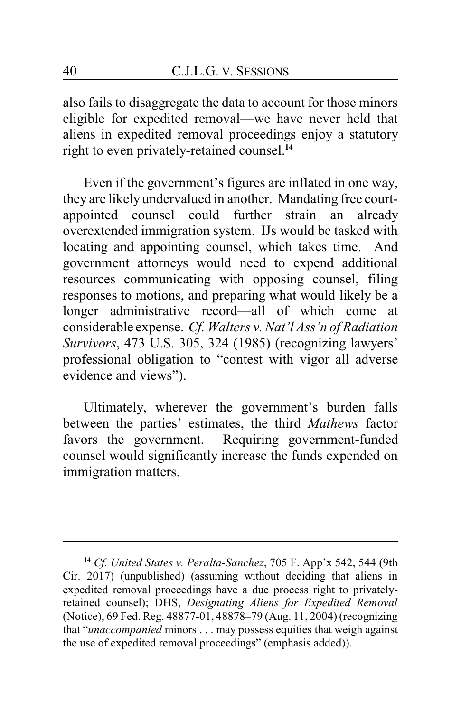also fails to disaggregate the data to account for those minors eligible for expedited removal—we have never held that aliens in expedited removal proceedings enjoy a statutory right to even privately-retained counsel.**<sup>14</sup>**

Even if the government's figures are inflated in one way, they are likely undervalued in another. Mandating free courtappointed counsel could further strain an already overextended immigration system. IJs would be tasked with locating and appointing counsel, which takes time. And government attorneys would need to expend additional resources communicating with opposing counsel, filing responses to motions, and preparing what would likely be a longer administrative record—all of which come at considerable expense. *Cf. Walters v. Nat'l Ass'n of Radiation Survivors*, 473 U.S. 305, 324 (1985) (recognizing lawyers' professional obligation to "contest with vigor all adverse evidence and views").

Ultimately, wherever the government's burden falls between the parties' estimates, the third *Mathews* factor favors the government. Requiring government-funded counsel would significantly increase the funds expended on immigration matters.

**<sup>14</sup>** *Cf. United States v. Peralta-Sanchez*, 705 F. App'x 542, 544 (9th Cir. 2017) (unpublished) (assuming without deciding that aliens in expedited removal proceedings have a due process right to privatelyretained counsel); DHS, *Designating Aliens for Expedited Removal* (Notice), 69 Fed. Reg. 48877-01, 48878–79 (Aug. 11, 2004) (recognizing that "*unaccompanied* minors . . . may possess equities that weigh against the use of expedited removal proceedings" (emphasis added)).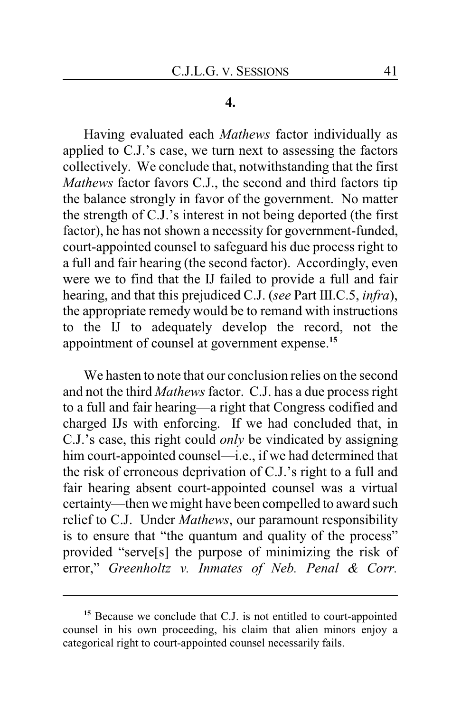#### **4.**

Having evaluated each *Mathews* factor individually as applied to C.J.'s case, we turn next to assessing the factors collectively. We conclude that, notwithstanding that the first *Mathews* factor favors C.J., the second and third factors tip the balance strongly in favor of the government. No matter the strength of C.J.'s interest in not being deported (the first factor), he has not shown a necessity for government-funded, court-appointed counsel to safeguard his due process right to a full and fair hearing (the second factor). Accordingly, even were we to find that the IJ failed to provide a full and fair hearing, and that this prejudiced C.J. (*see* Part III.C.5, *infra*), the appropriate remedy would be to remand with instructions to the IJ to adequately develop the record, not the appointment of counsel at government expense.**<sup>15</sup>**

We hasten to note that our conclusion relies on the second and not the third *Mathews* factor. C.J. has a due process right to a full and fair hearing—a right that Congress codified and charged IJs with enforcing. If we had concluded that, in C.J.'s case, this right could *only* be vindicated by assigning him court-appointed counsel—i.e., if we had determined that the risk of erroneous deprivation of C.J.'s right to a full and fair hearing absent court-appointed counsel was a virtual certainty—then we might have been compelled to award such relief to C.J. Under *Mathews*, our paramount responsibility is to ensure that "the quantum and quality of the process" provided "serve[s] the purpose of minimizing the risk of error," *Greenholtz v. Inmates of Neb. Penal & Corr.*

**<sup>15</sup>** Because we conclude that C.J. is not entitled to court-appointed counsel in his own proceeding, his claim that alien minors enjoy a categorical right to court-appointed counsel necessarily fails.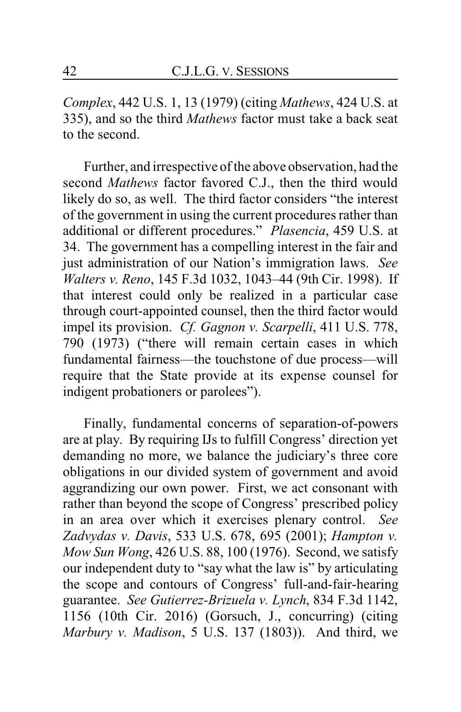*Complex*, 442 U.S. 1, 13 (1979) (citing *Mathews*, 424 U.S. at 335), and so the third *Mathews* factor must take a back seat to the second.

Further, and irrespective of the above observation, had the second *Mathews* factor favored C.J., then the third would likely do so, as well. The third factor considers "the interest of the government in using the current procedures rather than additional or different procedures." *Plasencia*, 459 U.S. at 34. The government has a compelling interest in the fair and just administration of our Nation's immigration laws. *See Walters v. Reno*, 145 F.3d 1032, 1043–44 (9th Cir. 1998). If that interest could only be realized in a particular case through court-appointed counsel, then the third factor would impel its provision. *Cf. Gagnon v. Scarpelli*, 411 U.S. 778, 790 (1973) ("there will remain certain cases in which fundamental fairness—the touchstone of due process—will require that the State provide at its expense counsel for indigent probationers or parolees").

Finally, fundamental concerns of separation-of-powers are at play. By requiring IJs to fulfill Congress' direction yet demanding no more, we balance the judiciary's three core obligations in our divided system of government and avoid aggrandizing our own power. First, we act consonant with rather than beyond the scope of Congress' prescribed policy in an area over which it exercises plenary control. *See Zadvydas v. Davis*, 533 U.S. 678, 695 (2001); *Hampton v. Mow Sun Wong*, 426 U.S. 88, 100 (1976). Second, we satisfy our independent duty to "say what the law is" by articulating the scope and contours of Congress' full-and-fair-hearing guarantee. *See Gutierrez-Brizuela v. Lynch*, 834 F.3d 1142, 1156 (10th Cir. 2016) (Gorsuch, J., concurring) (citing *Marbury v. Madison*, 5 U.S. 137 (1803)). And third, we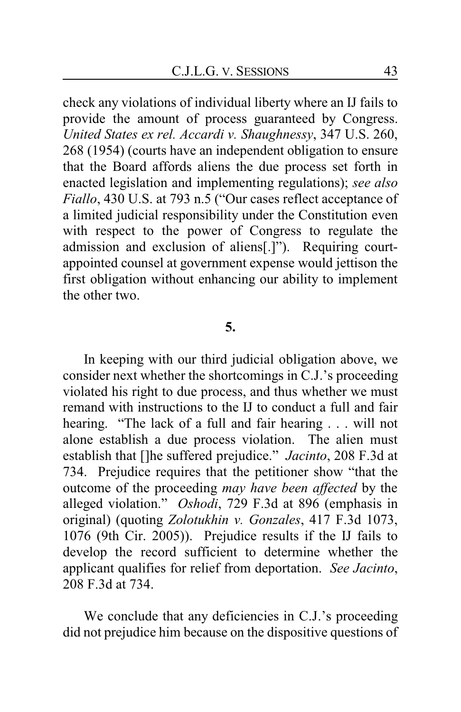check any violations of individual liberty where an IJ fails to provide the amount of process guaranteed by Congress. *United States ex rel. Accardi v. Shaughnessy*, 347 U.S. 260, 268 (1954) (courts have an independent obligation to ensure that the Board affords aliens the due process set forth in enacted legislation and implementing regulations); *see also Fiallo*, 430 U.S. at 793 n.5 ("Our cases reflect acceptance of a limited judicial responsibility under the Constitution even with respect to the power of Congress to regulate the admission and exclusion of aliens[.]"). Requiring courtappointed counsel at government expense would jettison the first obligation without enhancing our ability to implement the other two.

## **5.**

In keeping with our third judicial obligation above, we consider next whether the shortcomings in C.J.'s proceeding violated his right to due process, and thus whether we must remand with instructions to the IJ to conduct a full and fair hearing. "The lack of a full and fair hearing . . . will not alone establish a due process violation. The alien must establish that []he suffered prejudice." *Jacinto*, 208 F.3d at 734. Prejudice requires that the petitioner show "that the outcome of the proceeding *may have been affected* by the alleged violation." *Oshodi*, 729 F.3d at 896 (emphasis in original) (quoting *Zolotukhin v. Gonzales*, 417 F.3d 1073, 1076 (9th Cir. 2005)). Prejudice results if the IJ fails to develop the record sufficient to determine whether the applicant qualifies for relief from deportation. *See Jacinto*, 208 F.3d at 734.

We conclude that any deficiencies in C.J.'s proceeding did not prejudice him because on the dispositive questions of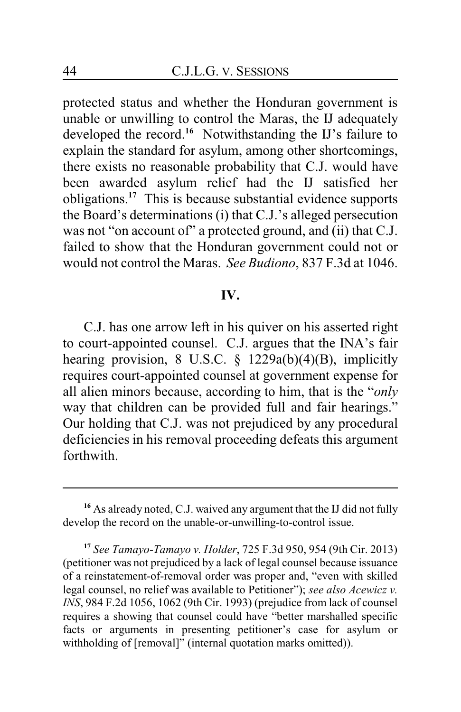protected status and whether the Honduran government is unable or unwilling to control the Maras, the IJ adequately developed the record.<sup>16</sup> Notwithstanding the IJ's failure to explain the standard for asylum, among other shortcomings, there exists no reasonable probability that C.J. would have been awarded asylum relief had the IJ satisfied her obligations.**<sup>17</sup>** This is because substantial evidence supports the Board's determinations (i) that C.J.'s alleged persecution was not "on account of" a protected ground, and (ii) that C.J. failed to show that the Honduran government could not or would not control the Maras. *See Budiono*, 837 F.3d at 1046.

## **IV.**

C.J. has one arrow left in his quiver on his asserted right to court-appointed counsel. C.J. argues that the INA's fair hearing provision, 8 U.S.C. § 1229a(b)(4)(B), implicitly requires court-appointed counsel at government expense for all alien minors because, according to him, that is the "*only* way that children can be provided full and fair hearings." Our holding that C.J. was not prejudiced by any procedural deficiencies in his removal proceeding defeats this argument forthwith.

**<sup>16</sup>** As already noted, C.J. waived any argument that the IJ did not fully develop the record on the unable-or-unwilling-to-control issue.

**<sup>17</sup>** *See Tamayo-Tamayo v. Holder*, 725 F.3d 950, 954 (9th Cir. 2013) (petitioner was not prejudiced by a lack of legal counsel because issuance of a reinstatement-of-removal order was proper and, "even with skilled legal counsel, no relief was available to Petitioner"); *see also Acewicz v. INS*, 984 F.2d 1056, 1062 (9th Cir. 1993) (prejudice from lack of counsel requires a showing that counsel could have "better marshalled specific facts or arguments in presenting petitioner's case for asylum or withholding of [removal]" (internal quotation marks omitted)).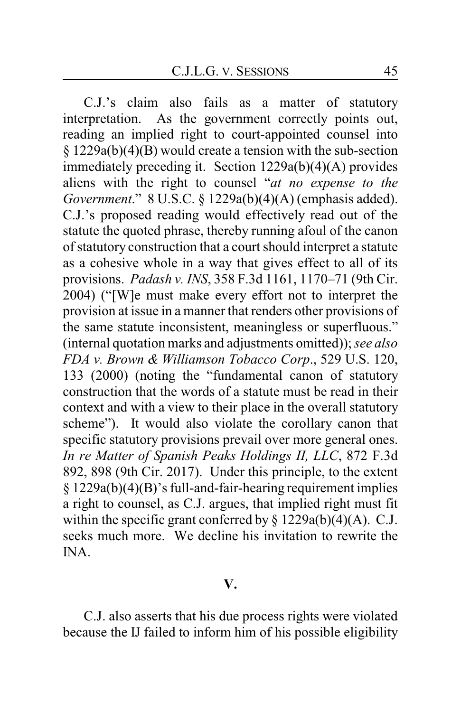C.J.'s claim also fails as a matter of statutory interpretation. As the government correctly points out, reading an implied right to court-appointed counsel into § 1229a(b)(4)(B) would create a tension with the sub-section immediately preceding it. Section 1229a(b)(4)(A) provides aliens with the right to counsel "*at no expense to the Government*." 8 U.S.C. § 1229a(b)(4)(A) (emphasis added). C.J.'s proposed reading would effectively read out of the statute the quoted phrase, thereby running afoul of the canon of statutory construction that a court should interpret a statute as a cohesive whole in a way that gives effect to all of its provisions. *Padash v. INS*, 358 F.3d 1161, 1170–71 (9th Cir. 2004) ("[W]e must make every effort not to interpret the provision at issue in a manner that renders other provisions of the same statute inconsistent, meaningless or superfluous." (internal quotation marks and adjustments omitted)); *see also FDA v. Brown & Williamson Tobacco Corp*., 529 U.S. 120, 133 (2000) (noting the "fundamental canon of statutory construction that the words of a statute must be read in their context and with a view to their place in the overall statutory scheme"). It would also violate the corollary canon that specific statutory provisions prevail over more general ones. *In re Matter of Spanish Peaks Holdings II, LLC*, 872 F.3d 892, 898 (9th Cir. 2017). Under this principle, to the extent § 1229a(b)(4)(B)'s full-and-fair-hearing requirement implies a right to counsel, as C.J. argues, that implied right must fit within the specific grant conferred by  $\S 1229a(b)(4)(A)$ . C.J. seeks much more. We decline his invitation to rewrite the INA.

#### **V.**

C.J. also asserts that his due process rights were violated because the IJ failed to inform him of his possible eligibility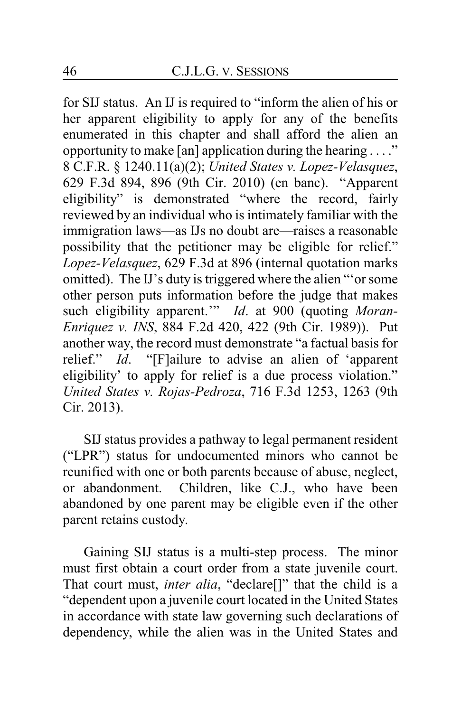for SIJ status. An IJ is required to "inform the alien of his or her apparent eligibility to apply for any of the benefits enumerated in this chapter and shall afford the alien an opportunity to make [an] application during the hearing . . . ." 8 C.F.R. § 1240.11(a)(2); *United States v. Lopez-Velasquez*, 629 F.3d 894, 896 (9th Cir. 2010) (en banc). "Apparent eligibility" is demonstrated "where the record, fairly reviewed by an individual who is intimately familiar with the immigration laws—as IJs no doubt are—raises a reasonable possibility that the petitioner may be eligible for relief." *Lopez-Velasquez*, 629 F.3d at 896 (internal quotation marks omitted). The IJ's duty is triggered where the alien "'or some other person puts information before the judge that makes such eligibility apparent." *Id.* at 900 (quoting *Moran-Enriquez v. INS*, 884 F.2d 420, 422 (9th Cir. 1989)). Put another way, the record must demonstrate "a factual basis for relief." *Id*. "[F]ailure to advise an alien of 'apparent eligibility' to apply for relief is a due process violation." *United States v. Rojas-Pedroza*, 716 F.3d 1253, 1263 (9th Cir. 2013).

SIJ status provides a pathway to legal permanent resident ("LPR") status for undocumented minors who cannot be reunified with one or both parents because of abuse, neglect, or abandonment. Children, like C.J., who have been abandoned by one parent may be eligible even if the other parent retains custody.

Gaining SIJ status is a multi-step process. The minor must first obtain a court order from a state juvenile court. That court must, *inter alia*, "declare[]" that the child is a "dependent upon a juvenile court located in the United States in accordance with state law governing such declarations of dependency, while the alien was in the United States and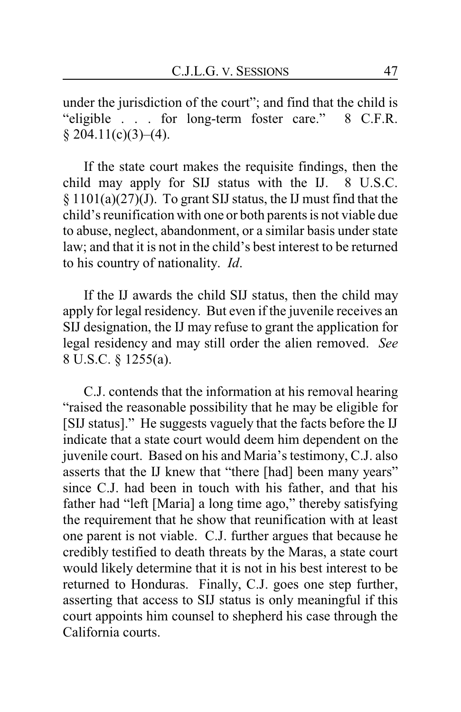under the jurisdiction of the court"; and find that the child is "eligible . . . for long-term foster care." 8 C.F.R.  $§ 204.11(c)(3)–(4).$ 

If the state court makes the requisite findings, then the child may apply for SIJ status with the IJ. 8 U.S.C.  $\S 1101(a)(27)(J)$ . To grant SIJ status, the IJ must find that the child's reunification with one or both parents is not viable due to abuse, neglect, abandonment, or a similar basis under state law; and that it is not in the child's best interest to be returned to his country of nationality. *Id*.

If the IJ awards the child SIJ status, then the child may apply for legal residency. But even if the juvenile receives an SIJ designation, the IJ may refuse to grant the application for legal residency and may still order the alien removed. *See* 8 U.S.C. § 1255(a).

C.J. contends that the information at his removal hearing "raised the reasonable possibility that he may be eligible for [SIJ status]." He suggests vaguely that the facts before the IJ indicate that a state court would deem him dependent on the juvenile court. Based on his and Maria's testimony, C.J. also asserts that the IJ knew that "there [had] been many years" since C.J. had been in touch with his father, and that his father had "left [Maria] a long time ago," thereby satisfying the requirement that he show that reunification with at least one parent is not viable. C.J. further argues that because he credibly testified to death threats by the Maras, a state court would likely determine that it is not in his best interest to be returned to Honduras. Finally, C.J. goes one step further, asserting that access to SIJ status is only meaningful if this court appoints him counsel to shepherd his case through the California courts.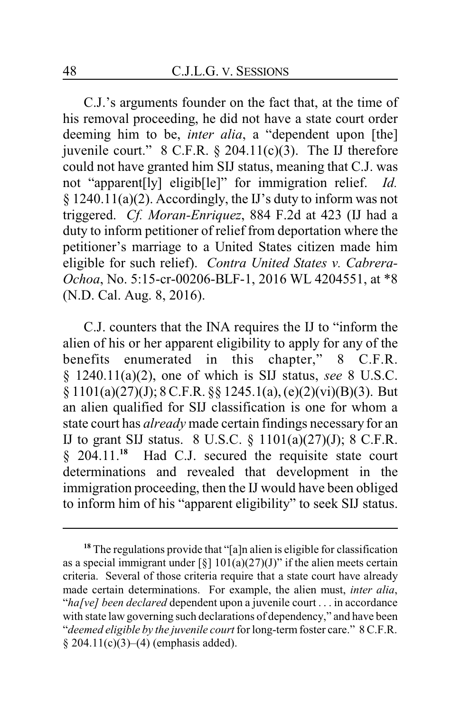C.J.'s arguments founder on the fact that, at the time of his removal proceeding, he did not have a state court order deeming him to be, *inter alia*, a "dependent upon [the] juvenile court."  $8$  C.F.R.  $\S$  204.11(c)(3). The IJ therefore could not have granted him SIJ status, meaning that C.J. was not "apparent[ly] eligib[le]" for immigration relief. *Id.* § 1240.11(a)(2). Accordingly, the IJ's duty to inform was not triggered. *Cf. Moran-Enriquez*, 884 F.2d at 423 (IJ had a duty to inform petitioner of relief from deportation where the petitioner's marriage to a United States citizen made him eligible for such relief). *Contra United States v. Cabrera-Ochoa*, No. 5:15-cr-00206-BLF-1, 2016 WL 4204551, at \*8 (N.D. Cal. Aug. 8, 2016).

C.J. counters that the INA requires the IJ to "inform the alien of his or her apparent eligibility to apply for any of the benefits enumerated in this chapter," 8 C.F.R. § 1240.11(a)(2), one of which is SIJ status, *see* 8 U.S.C. § 1101(a)(27)(J); 8 C.F.R. §§ 1245.1(a), (e)(2)(vi)(B)(3). But an alien qualified for SIJ classification is one for whom a state court has *already* made certain findings necessary for an IJ to grant SIJ status. 8 U.S.C. § 1101(a)(27)(J); 8 C.F.R. § 204.11.**<sup>18</sup>** Had C.J. secured the requisite state court determinations and revealed that development in the immigration proceeding, then the IJ would have been obliged to inform him of his "apparent eligibility" to seek SIJ status.

**<sup>18</sup>** The regulations provide that "[a]n alien is eligible for classification as a special immigrant under  $\lceil \xi \rceil 101(a)(27)(J)$ " if the alien meets certain criteria. Several of those criteria require that a state court have already made certain determinations. For example, the alien must, *inter alia*, "*ha[ve] been declared* dependent upon a juvenile court . . . in accordance with state law governing such declarations of dependency," and have been "*deemed eligible by the juvenile court* for long-termfoster care." 8 C.F.R.  $§ 204.11(c)(3)–(4)$  (emphasis added).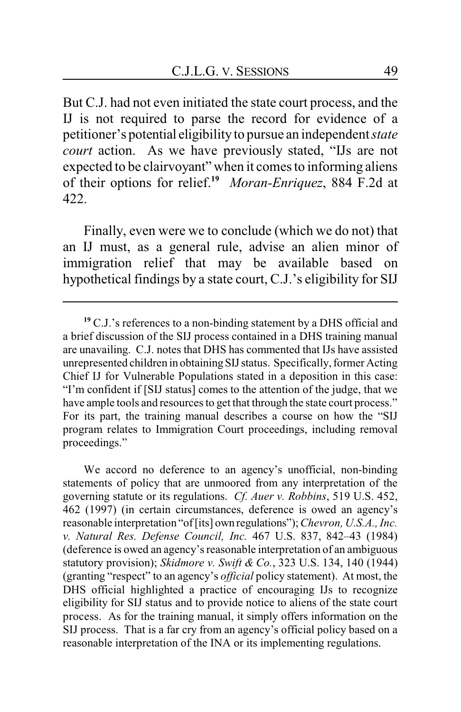But C.J. had not even initiated the state court process, and the IJ is not required to parse the record for evidence of a petitioner's potential eligibility to pursue an independent *state court* action. As we have previously stated, "IJs are not expected to be clairvoyant" when it comes to informing aliens of their options for relief.**<sup>19</sup>** *Moran-Enriquez*, 884 F.2d at 422.

Finally, even were we to conclude (which we do not) that an IJ must, as a general rule, advise an alien minor of immigration relief that may be available based on hypothetical findings by a state court, C.J.'s eligibility for SIJ

We accord no deference to an agency's unofficial, non-binding statements of policy that are unmoored from any interpretation of the governing statute or its regulations. *Cf. Auer v. Robbins*, 519 U.S. 452, 462 (1997) (in certain circumstances, deference is owed an agency's reasonable interpretation "of[its] own regulations"); *Chevron, U.S.A., Inc. v. Natural Res. Defense Council, Inc.* 467 U.S. 837, 842–43 (1984) (deference is owed an agency's reasonable interpretation of an ambiguous statutory provision); *Skidmore v. Swift & Co.*, 323 U.S. 134, 140 (1944) (granting "respect" to an agency's *official* policy statement). At most, the DHS official highlighted a practice of encouraging IJs to recognize eligibility for SIJ status and to provide notice to aliens of the state court process. As for the training manual, it simply offers information on the SIJ process. That is a far cry from an agency's official policy based on a reasonable interpretation of the INA or its implementing regulations.

**<sup>19</sup>** C.J.'s references to a non-binding statement by a DHS official and a brief discussion of the SIJ process contained in a DHS training manual are unavailing. C.J. notes that DHS has commented that IJs have assisted unrepresented children in obtaining SIJ status. Specifically, former Acting Chief IJ for Vulnerable Populations stated in a deposition in this case: "I'm confident if [SIJ status] comes to the attention of the judge, that we have ample tools and resources to get that through the state court process." For its part, the training manual describes a course on how the "SIJ program relates to Immigration Court proceedings, including removal proceedings."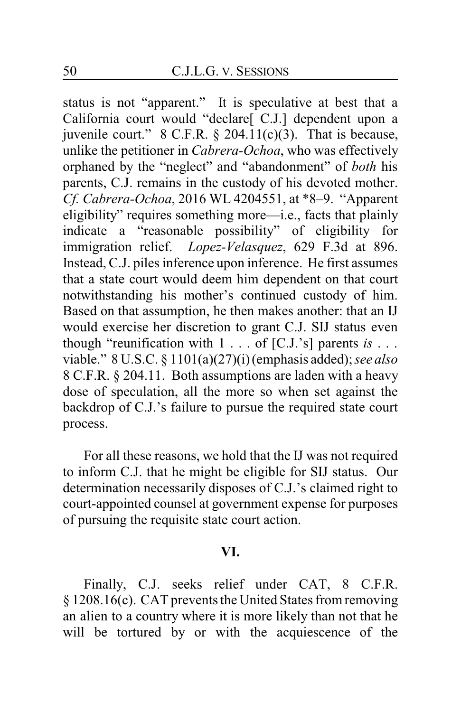status is not "apparent." It is speculative at best that a California court would "declare[ C.J.] dependent upon a juvenile court." 8 C.F.R. § 204.11(c)(3). That is because, unlike the petitioner in *Cabrera-Ochoa*, who was effectively orphaned by the "neglect" and "abandonment" of *both* his parents, C.J. remains in the custody of his devoted mother. *Cf. Cabrera-Ochoa*, 2016 WL 4204551, at \*8–9. "Apparent eligibility" requires something more—i.e., facts that plainly indicate a "reasonable possibility" of eligibility for immigration relief. *Lopez-Velasquez*, 629 F.3d at 896. Instead, C.J. piles inference upon inference. He first assumes that a state court would deem him dependent on that court notwithstanding his mother's continued custody of him. Based on that assumption, he then makes another: that an IJ would exercise her discretion to grant C.J. SIJ status even though "reunification with 1 . . . of [C.J.'s] parents *is* . . . viable." 8 U.S.C. § 1101(a)(27)(i) (emphasis added); *see also* 8 C.F.R. § 204.11. Both assumptions are laden with a heavy dose of speculation, all the more so when set against the backdrop of C.J.'s failure to pursue the required state court process.

For all these reasons, we hold that the IJ was not required to inform C.J. that he might be eligible for SIJ status. Our determination necessarily disposes of C.J.'s claimed right to court-appointed counsel at government expense for purposes of pursuing the requisite state court action.

#### **VI.**

Finally, C.J. seeks relief under CAT, 8 C.F.R. § 1208.16(c). CAT prevents the United States from removing an alien to a country where it is more likely than not that he will be tortured by or with the acquiescence of the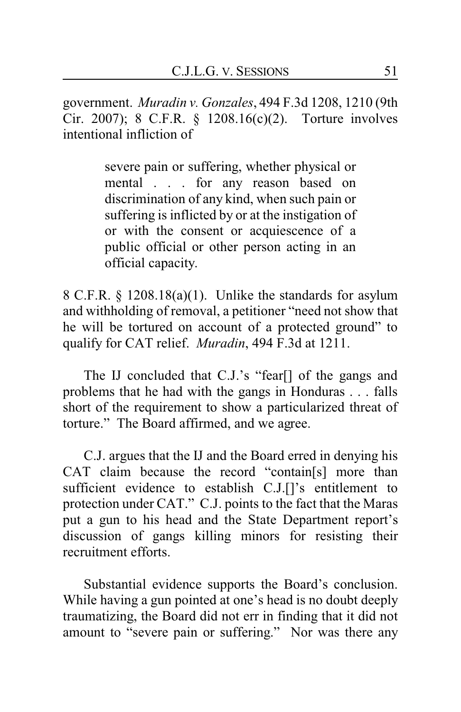government. *Muradin v. Gonzales*, 494 F.3d 1208, 1210 (9th Cir. 2007); 8 C.F.R. § 1208.16(c)(2). Torture involves intentional infliction of

> severe pain or suffering, whether physical or mental . . . for any reason based on discrimination of any kind, when such pain or suffering is inflicted by or at the instigation of or with the consent or acquiescence of a public official or other person acting in an official capacity.

8 C.F.R. § 1208.18(a)(1). Unlike the standards for asylum and withholding of removal, a petitioner "need not show that he will be tortured on account of a protected ground" to qualify for CAT relief. *Muradin*, 494 F.3d at 1211.

The IJ concluded that C.J.'s "fear[] of the gangs and problems that he had with the gangs in Honduras . . . falls short of the requirement to show a particularized threat of torture." The Board affirmed, and we agree.

C.J. argues that the IJ and the Board erred in denying his CAT claim because the record "contain[s] more than sufficient evidence to establish C.J.[]'s entitlement to protection under CAT." C.J. points to the fact that the Maras put a gun to his head and the State Department report's discussion of gangs killing minors for resisting their recruitment efforts.

Substantial evidence supports the Board's conclusion. While having a gun pointed at one's head is no doubt deeply traumatizing, the Board did not err in finding that it did not amount to "severe pain or suffering." Nor was there any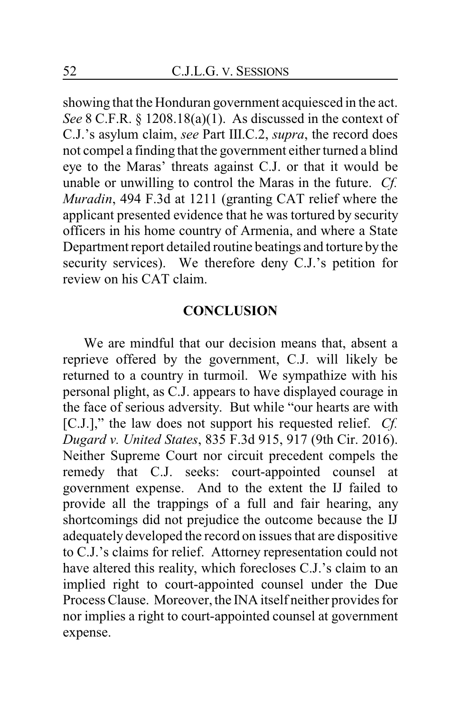showing that the Honduran government acquiesced in the act. *See* 8 C.F.R. § 1208.18(a)(1). As discussed in the context of C.J.'s asylum claim, *see* Part III.C.2, *supra*, the record does not compel a finding that the government either turned a blind eye to the Maras' threats against C.J. or that it would be unable or unwilling to control the Maras in the future. *Cf. Muradin*, 494 F.3d at 1211 (granting CAT relief where the applicant presented evidence that he was tortured by security officers in his home country of Armenia, and where a State Department report detailed routine beatings and torture by the security services). We therefore deny C.J.'s petition for review on his CAT claim.

## **CONCLUSION**

We are mindful that our decision means that, absent a reprieve offered by the government, C.J. will likely be returned to a country in turmoil. We sympathize with his personal plight, as C.J. appears to have displayed courage in the face of serious adversity. But while "our hearts are with [C.J.]," the law does not support his requested relief. *Cf. Dugard v. United States*, 835 F.3d 915, 917 (9th Cir. 2016). Neither Supreme Court nor circuit precedent compels the remedy that C.J. seeks: court-appointed counsel at government expense. And to the extent the IJ failed to provide all the trappings of a full and fair hearing, any shortcomings did not prejudice the outcome because the IJ adequately developed the record on issues that are dispositive to C.J.'s claims for relief. Attorney representation could not have altered this reality, which forecloses C.J.'s claim to an implied right to court-appointed counsel under the Due Process Clause. Moreover, the INA itself neither provides for nor implies a right to court-appointed counsel at government expense.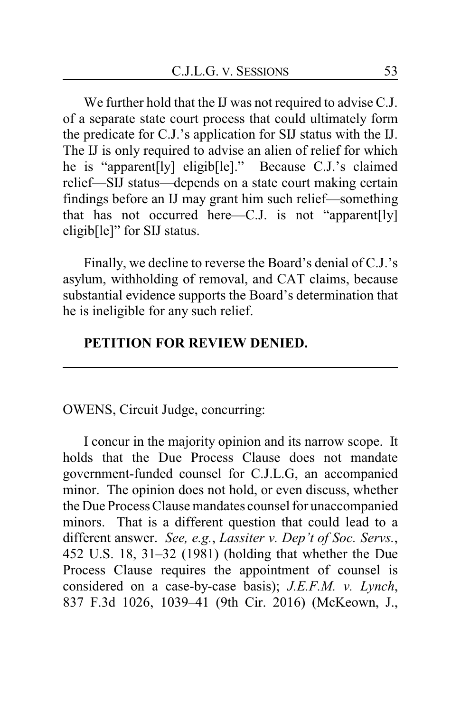We further hold that the IJ was not required to advise C.J. of a separate state court process that could ultimately form the predicate for C.J.'s application for SIJ status with the IJ. The IJ is only required to advise an alien of relief for which he is "apparent[ly] eligib[le]." Because C.J.'s claimed relief—SIJ status—depends on a state court making certain findings before an IJ may grant him such relief—something that has not occurred here—C.J. is not "apparent[ly] eligib[le]" for SIJ status.

Finally, we decline to reverse the Board's denial of C.J.'s asylum, withholding of removal, and CAT claims, because substantial evidence supports the Board's determination that he is ineligible for any such relief.

## **PETITION FOR REVIEW DENIED.**

## OWENS, Circuit Judge, concurring:

I concur in the majority opinion and its narrow scope. It holds that the Due Process Clause does not mandate government-funded counsel for C.J.L.G, an accompanied minor. The opinion does not hold, or even discuss, whether the Due Process Clause mandates counsel for unaccompanied minors. That is a different question that could lead to a different answer. *See, e.g.*, *Lassiter v. Dep't of Soc. Servs.*, 452 U.S. 18, 31–32 (1981) (holding that whether the Due Process Clause requires the appointment of counsel is considered on a case-by-case basis); *J.E.F.M. v. Lynch*, 837 F.3d 1026, 1039–41 (9th Cir. 2016) (McKeown, J.,